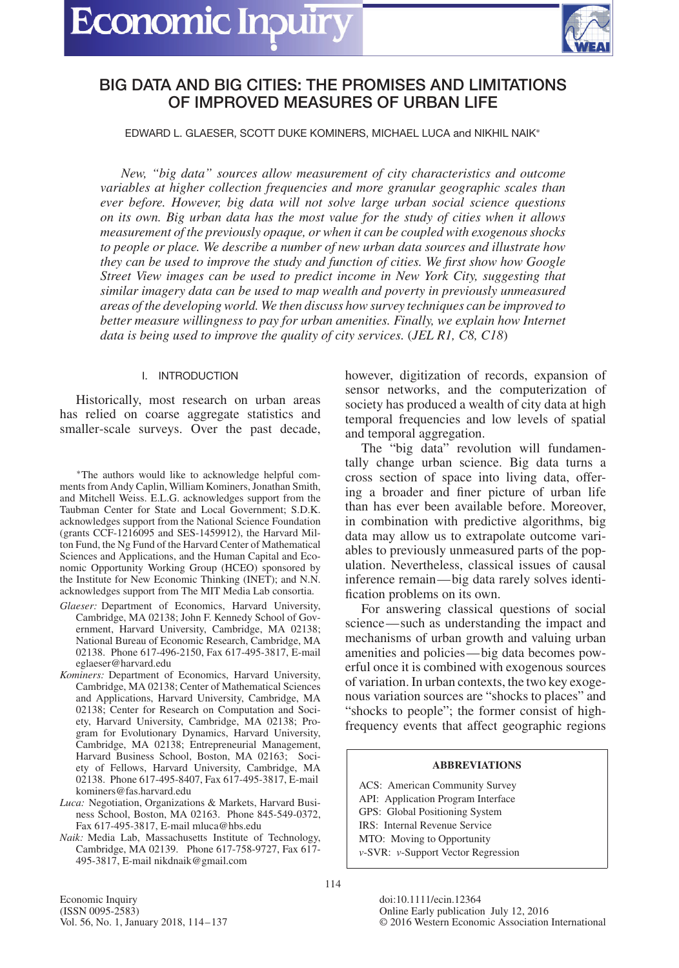

# **BIG DATA AND BIG CITIES: THE PROMISES AND LIMITATIONS OF IMPROVED MEASURES OF URBAN LIFE**

EDWARD L. GLAESER, SCOTT DUKE KOMINERS, MICHAEL LUCA and NIKHIL NAIK<sup>∗</sup>

*New, "big data" sources allow measurement of city characteristics and outcome variables at higher collection frequencies and more granular geographic scales than ever before. However, big data will not solve large urban social science questions on its own. Big urban data has the most value for the study of cities when it allows measurement of the previously opaque, or when it can be coupled with exogenous shocks to people or place. We describe a number of new urban data sources and illustrate how they can be used to improve the study and function of cities. We first show how Google Street View images can be used to predict income in New York City, suggesting that similar imagery data can be used to map wealth and poverty in previously unmeasured areas of the developing world. We then discuss how survey techniques can be improved to better measure willingness to pay for urban amenities. Finally, we explain how Internet data is being used to improve the quality of city services.* (*JEL R1, C8, C18*)

### I. INTRODUCTION

Historically, most research on urban areas has relied on coarse aggregate statistics and smaller-scale surveys. Over the past decade,

<sup>∗</sup>The authors would like to acknowledge helpful comments from Andy Caplin, William Kominers, Jonathan Smith, and Mitchell Weiss. E.L.G. acknowledges support from the Taubman Center for State and Local Government; S.D.K. acknowledges support from the National Science Foundation (grants CCF-1216095 and SES-1459912), the Harvard Milton Fund, the Ng Fund of the Harvard Center of Mathematical Sciences and Applications, and the Human Capital and Economic Opportunity Working Group (HCEO) sponsored by the Institute for New Economic Thinking (INET); and N.N. acknowledges support from The MIT Media Lab consortia.

*Glaeser:* Department of Economics, Harvard University, Cambridge, MA 02138; John F. Kennedy School of Government, Harvard University, Cambridge, MA 02138; National Bureau of Economic Research, Cambridge, MA 02138. Phone 617-496-2150, Fax 617-495-3817, E-mail eglaeser@harvard.edu

*Kominers:* Department of Economics, Harvard University, Cambridge, MA 02138; Center of Mathematical Sciences and Applications, Harvard University, Cambridge, MA 02138; Center for Research on Computation and Society, Harvard University, Cambridge, MA 02138; Program for Evolutionary Dynamics, Harvard University, Cambridge, MA 02138; Entrepreneurial Management, Harvard Business School, Boston, MA 02163; Society of Fellows, Harvard University, Cambridge, MA 02138. Phone 617-495-8407, Fax 617-495-3817, E-mail kominers@fas.harvard.edu

*Luca:* Negotiation, Organizations & Markets, Harvard Business School, Boston, MA 02163. Phone 845-549-0372, Fax 617-495-3817, E-mail mluca@hbs.edu

*Naik:* Media Lab, Massachusetts Institute of Technology, Cambridge, MA 02139. Phone 617-758-9727, Fax 617- 495-3817, E-mail nikdnaik@gmail.com

however, digitization of records, expansion of sensor networks, and the computerization of society has produced a wealth of city data at high temporal frequencies and low levels of spatial and temporal aggregation.

The "big data" revolution will fundamentally change urban science. Big data turns a cross section of space into living data, offering a broader and finer picture of urban life than has ever been available before. Moreover, in combination with predictive algorithms, big data may allow us to extrapolate outcome variables to previously unmeasured parts of the population. Nevertheless, classical issues of causal inference remain—big data rarely solves identification problems on its own.

For answering classical questions of social science—such as understanding the impact and mechanisms of urban growth and valuing urban amenities and policies—big data becomes powerful once it is combined with exogenous sources of variation. In urban contexts, the two key exogenous variation sources are "shocks to places" and "shocks to people"; the former consist of highfrequency events that affect geographic regions

### **ABBREVIATIONS**

ACS: American Community Survey

- API: Application Program Interface
- GPS: Global Positioning System
- IRS: Internal Revenue Service MTO: Moving to Opportunity
- *v*-SVR: *v*-Support Vector Regression

doi:10.1111/ecin.12364 Online Early publication July 12, 2016 © 2016 Western Economic Association International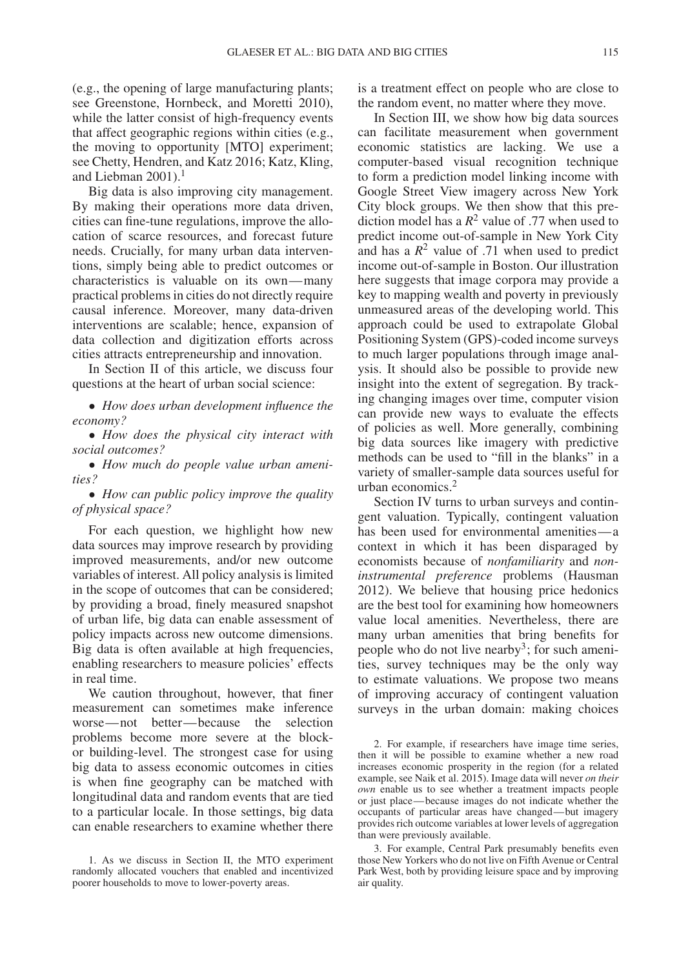(e.g., the opening of large manufacturing plants; see Greenstone, Hornbeck, and Moretti 2010), while the latter consist of high-frequency events that affect geographic regions within cities (e.g., the moving to opportunity [MTO] experiment; see Chetty, Hendren, and Katz 2016; Katz, Kling, and Liebman  $2001$  $2001$ ).<sup>1</sup>

Big data is also improving city management. By making their operations more data driven, cities can fine-tune regulations, improve the allocation of scarce resources, and forecast future needs. Crucially, for many urban data interventions, simply being able to predict outcomes or characteristics is valuable on its own—many practical problems in cities do not directly require causal inference. Moreover, many data-driven interventions are scalable; hence, expansion of data collection and digitization efforts across cities attracts entrepreneurship and innovation.

In Section II of this article, we discuss four questions at the heart of urban social science:

• *How does urban development influence the economy?*

• *How does the physical city interact with social outcomes?*

• *How much do people value urban amenities?*

• *How can public policy improve the quality of physical space?*

For each question, we highlight how new data sources may improve research by providing improved measurements, and/or new outcome variables of interest. All policy analysis is limited in the scope of outcomes that can be considered; by providing a broad, finely measured snapshot of urban life, big data can enable assessment of policy impacts across new outcome dimensions. Big data is often available at high frequencies, enabling researchers to measure policies' effects in real time.

We caution throughout, however, that finer measurement can sometimes make inference worse—not better—because the selection problems become more severe at the blockor building-level. The strongest case for using big data to assess economic outcomes in cities is when fine geography can be matched with longitudinal data and random events that are tied to a particular locale. In those settings, big data can enable researchers to examine whether there is a treatment effect on people who are close to the random event, no matter where they move.

In Section III, we show how big data sources can facilitate measurement when government economic statistics are lacking. We use a computer-based visual recognition technique to form a prediction model linking income with Google Street View imagery across New York City block groups. We then show that this prediction model has a  $R^2$  value of .77 when used to predict income out-of-sample in New York City and has a  $R^2$  value of .71 when used to predict income out-of-sample in Boston. Our illustration here suggests that image corpora may provide a key to mapping wealth and poverty in previously unmeasured areas of the developing world. This approach could be used to extrapolate Global Positioning System (GPS)-coded income surveys to much larger populations through image analysis. It should also be possible to provide new insight into the extent of segregation. By tracking changing images over time, computer vision can provide new ways to evaluate the effects of policies as well. More generally, combining big data sources like imagery with predictive methods can be used to "fill in the blanks" in a variety of smaller-sample data sources useful for urban economics[.2](#page-1-1)

Section IV turns to urban surveys and contingent valuation. Typically, contingent valuation has been used for environmental amenities—a context in which it has been disparaged by economists because of *nonfamiliarity* and *noninstrumental preference* problems (Hausman 2012). We believe that housing price hedonics are the best tool for examining how homeowners value local amenities. Nevertheless, there are many urban amenities that bring benefits for people who do not live nearby<sup>3</sup>; for such amenities, survey techniques may be the only way to estimate valuations. We propose two means of improving accuracy of contingent valuation surveys in the urban domain: making choices

<span id="page-1-1"></span>2. For example, if researchers have image time series, then it will be possible to examine whether a new road increases economic prosperity in the region (for a related example, see Naik et al. 2015). Image data will never *on their own* enable us to see whether a treatment impacts people or just place—because images do not indicate whether the occupants of particular areas have changed—but imagery provides rich outcome variables at lower levels of aggregation than were previously available.

<span id="page-1-2"></span>3. For example, Central Park presumably benefits even those New Yorkers who do not live on Fifth Avenue or Central Park West, both by providing leisure space and by improving air quality.

<span id="page-1-0"></span><sup>1.</sup> As we discuss in Section II, the MTO experiment randomly allocated vouchers that enabled and incentivized poorer households to move to lower-poverty areas.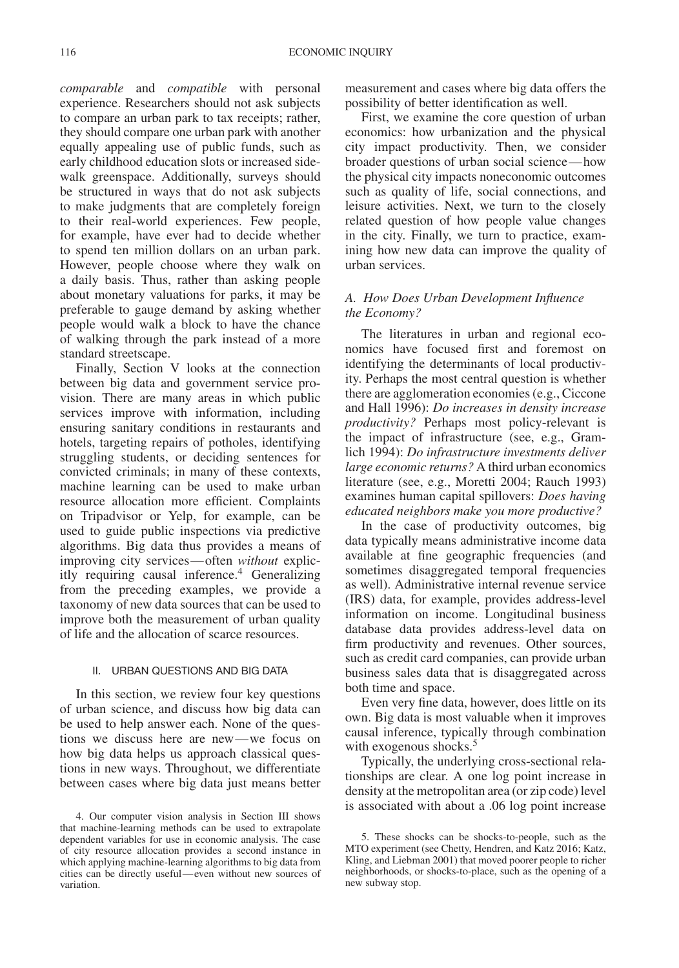*comparable* and *compatible* with personal experience. Researchers should not ask subjects to compare an urban park to tax receipts; rather, they should compare one urban park with another equally appealing use of public funds, such as early childhood education slots or increased sidewalk greenspace. Additionally, surveys should be structured in ways that do not ask subjects to make judgments that are completely foreign to their real-world experiences. Few people, for example, have ever had to decide whether to spend ten million dollars on an urban park. However, people choose where they walk on a daily basis. Thus, rather than asking people about monetary valuations for parks, it may be preferable to gauge demand by asking whether people would walk a block to have the chance of walking through the park instead of a more standard streetscape.

Finally, Section V looks at the connection between big data and government service provision. There are many areas in which public services improve with information, including ensuring sanitary conditions in restaurants and hotels, targeting repairs of potholes, identifying struggling students, or deciding sentences for convicted criminals; in many of these contexts, machine learning can be used to make urban resource allocation more efficient. Complaints on Tripadvisor or Yelp, for example, can be used to guide public inspections via predictive algorithms. Big data thus provides a means of improving city services—often *without* explicitly requiring causal inference.<sup>4</sup> Generalizing from the preceding examples, we provide a taxonomy of new data sources that can be used to improve both the measurement of urban quality of life and the allocation of scarce resources.

### II. URBAN QUESTIONS AND BIG DATA

In this section, we review four key questions of urban science, and discuss how big data can be used to help answer each. None of the questions we discuss here are new—we focus on how big data helps us approach classical questions in new ways. Throughout, we differentiate between cases where big data just means better measurement and cases where big data offers the possibility of better identification as well.

First, we examine the core question of urban economics: how urbanization and the physical city impact productivity. Then, we consider broader questions of urban social science—how the physical city impacts noneconomic outcomes such as quality of life, social connections, and leisure activities. Next, we turn to the closely related question of how people value changes in the city. Finally, we turn to practice, examining how new data can improve the quality of urban services.

# *A. How Does Urban Development Influence the Economy?*

The literatures in urban and regional economics have focused first and foremost on identifying the determinants of local productivity. Perhaps the most central question is whether there are agglomeration economies (e.g., Ciccone and Hall 1996): *Do increases in density increase productivity?* Perhaps most policy-relevant is the impact of infrastructure (see, e.g., Gramlich 1994): *Do infrastructure investments deliver large economic returns?* A third urban economics literature (see, e.g., Moretti 2004; Rauch 1993) examines human capital spillovers: *Does having educated neighbors make you more productive?*

In the case of productivity outcomes, big data typically means administrative income data available at fine geographic frequencies (and sometimes disaggregated temporal frequencies as well). Administrative internal revenue service (IRS) data, for example, provides address-level information on income. Longitudinal business database data provides address-level data on firm productivity and revenues. Other sources, such as credit card companies, can provide urban business sales data that is disaggregated across both time and space.

Even very fine data, however, does little on its own. Big data is most valuable when it improves causal inference, typically through combination with exogenous shocks.<sup>5</sup>

Typically, the underlying cross-sectional relationships are clear. A one log point increase in density at the metropolitan area (or zip code) level is associated with about a .06 log point increase

<span id="page-2-0"></span><sup>4.</sup> Our computer vision analysis in Section III shows that machine-learning methods can be used to extrapolate dependent variables for use in economic analysis. The case of city resource allocation provides a second instance in which applying machine-learning algorithms to big data from cities can be directly useful—even without new sources of variation.

<span id="page-2-1"></span><sup>5.</sup> These shocks can be shocks-to-people, such as the MTO experiment (see Chetty, Hendren, and Katz 2016; Katz, Kling, and Liebman 2001) that moved poorer people to richer neighborhoods, or shocks-to-place, such as the opening of a new subway stop.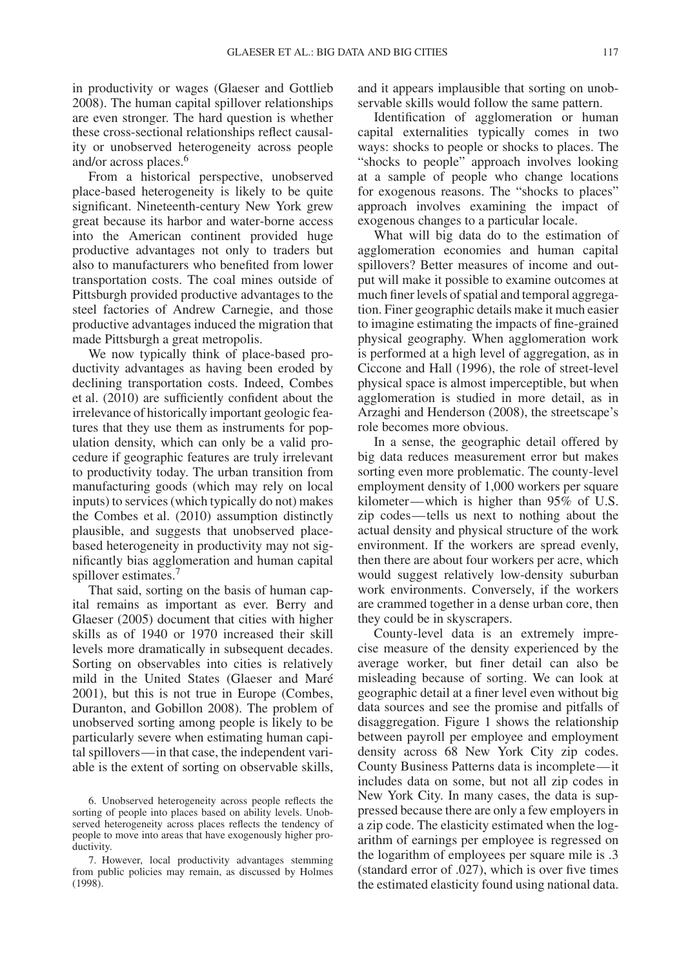in productivity or wages (Glaeser and Gottlieb 2008). The human capital spillover relationships are even stronger. The hard question is whether these cross-sectional relationships reflect causality or unobserved heterogeneity across people and/or across places.<sup>[6](#page-3-0)</sup>

From a historical perspective, unobserved place-based heterogeneity is likely to be quite significant. Nineteenth-century New York grew great because its harbor and water-borne access into the American continent provided huge productive advantages not only to traders but also to manufacturers who benefited from lower transportation costs. The coal mines outside of Pittsburgh provided productive advantages to the steel factories of Andrew Carnegie, and those productive advantages induced the migration that made Pittsburgh a great metropolis.

We now typically think of place-based productivity advantages as having been eroded by declining transportation costs. Indeed, Combes et al. (2010) are sufficiently confident about the irrelevance of historically important geologic features that they use them as instruments for population density, which can only be a valid procedure if geographic features are truly irrelevant to productivity today. The urban transition from manufacturing goods (which may rely on local inputs) to services (which typically do not) makes the Combes et al. (2010) assumption distinctly plausible, and suggests that unobserved placebased heterogeneity in productivity may not significantly bias agglomeration and human capital spillover estimates.<sup>7</sup>

That said, sorting on the basis of human capital remains as important as ever. Berry and Glaeser (2005) document that cities with higher skills as of 1940 or 1970 increased their skill levels more dramatically in subsequent decades. Sorting on observables into cities is relatively mild in the United States (Glaeser and Maré 2001), but this is not true in Europe (Combes, Duranton, and Gobillon 2008). The problem of unobserved sorting among people is likely to be particularly severe when estimating human capital spillovers—in that case, the independent variable is the extent of sorting on observable skills, and it appears implausible that sorting on unobservable skills would follow the same pattern.

Identification of agglomeration or human capital externalities typically comes in two ways: shocks to people or shocks to places. The "shocks to people" approach involves looking at a sample of people who change locations for exogenous reasons. The "shocks to places" approach involves examining the impact of exogenous changes to a particular locale.

What will big data do to the estimation of agglomeration economies and human capital spillovers? Better measures of income and output will make it possible to examine outcomes at much finer levels of spatial and temporal aggregation. Finer geographic details make it much easier to imagine estimating the impacts of fine-grained physical geography. When agglomeration work is performed at a high level of aggregation, as in Ciccone and Hall (1996), the role of street-level physical space is almost imperceptible, but when agglomeration is studied in more detail, as in Arzaghi and Henderson (2008), the streetscape's role becomes more obvious.

In a sense, the geographic detail offered by big data reduces measurement error but makes sorting even more problematic. The county-level employment density of 1,000 workers per square kilometer—which is higher than 95% of U.S. zip codes—tells us next to nothing about the actual density and physical structure of the work environment. If the workers are spread evenly, then there are about four workers per acre, which would suggest relatively low-density suburban work environments. Conversely, if the workers are crammed together in a dense urban core, then they could be in skyscrapers.

County-level data is an extremely imprecise measure of the density experienced by the average worker, but finer detail can also be misleading because of sorting. We can look at geographic detail at a finer level even without big data sources and see the promise and pitfalls of disaggregation. Figure 1 shows the relationship between payroll per employee and employment density across 68 New York City zip codes. County Business Patterns data is incomplete—it includes data on some, but not all zip codes in New York City. In many cases, the data is suppressed because there are only a few employers in a zip code. The elasticity estimated when the logarithm of earnings per employee is regressed on the logarithm of employees per square mile is .3 (standard error of .027), which is over five times the estimated elasticity found using national data.

<span id="page-3-0"></span><sup>6.</sup> Unobserved heterogeneity across people reflects the sorting of people into places based on ability levels. Unobserved heterogeneity across places reflects the tendency of people to move into areas that have exogenously higher productivity.

<span id="page-3-1"></span><sup>7.</sup> However, local productivity advantages stemming from public policies may remain, as discussed by Holmes (1998).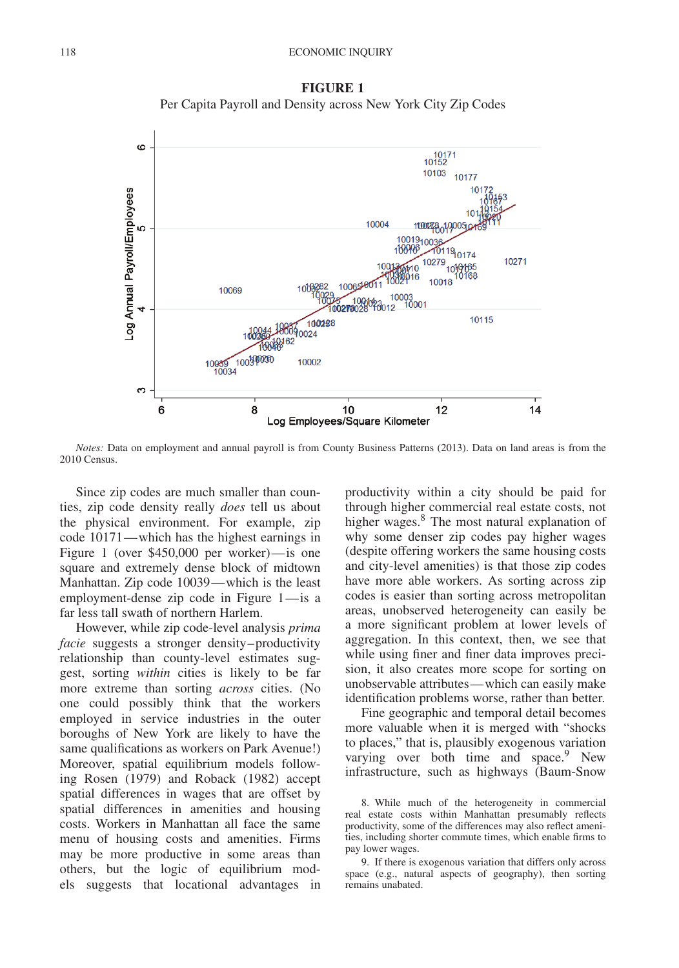**FIGURE 1** Per Capita Payroll and Density across New York City Zip Codes



*Notes:* Data on employment and annual payroll is from County Business Patterns (2013). Data on land areas is from the 2010 Census.

Since zip codes are much smaller than counties, zip code density really *does* tell us about the physical environment. For example, zip code 10171—which has the highest earnings in Figure 1 (over \$450,000 per worker)—is one square and extremely dense block of midtown Manhattan. Zip code 10039—which is the least employment-dense zip code in Figure 1—is a far less tall swath of northern Harlem.

However, while zip code-level analysis *prima facie* suggests a stronger density–productivity relationship than county-level estimates suggest, sorting *within* cities is likely to be far more extreme than sorting *across* cities. (No one could possibly think that the workers employed in service industries in the outer boroughs of New York are likely to have the same qualifications as workers on Park Avenue!) Moreover, spatial equilibrium models following Rosen (1979) and Roback (1982) accept spatial differences in wages that are offset by spatial differences in amenities and housing costs. Workers in Manhattan all face the same menu of housing costs and amenities. Firms may be more productive in some areas than others, but the logic of equilibrium models suggests that locational advantages in

productivity within a city should be paid for through higher commercial real estate costs, not higher wages.<sup>[8](#page-4-0)</sup> The most natural explanation of why some denser zip codes pay higher wages (despite offering workers the same housing costs and city-level amenities) is that those zip codes have more able workers. As sorting across zip codes is easier than sorting across metropolitan areas, unobserved heterogeneity can easily be a more significant problem at lower levels of aggregation. In this context, then, we see that while using finer and finer data improves precision, it also creates more scope for sorting on unobservable attributes—which can easily make identification problems worse, rather than better.

Fine geographic and temporal detail becomes more valuable when it is merged with "shocks to places," that is, plausibly exogenous variation varying over both time and space.<sup>[9](#page-4-1)</sup> New infrastructure, such as highways (Baum-Snow

<span id="page-4-0"></span><sup>8.</sup> While much of the heterogeneity in commercial real estate costs within Manhattan presumably reflects productivity, some of the differences may also reflect amenities, including shorter commute times, which enable firms to pay lower wages.

<span id="page-4-1"></span><sup>9.</sup> If there is exogenous variation that differs only across space (e.g., natural aspects of geography), then sorting remains unabated.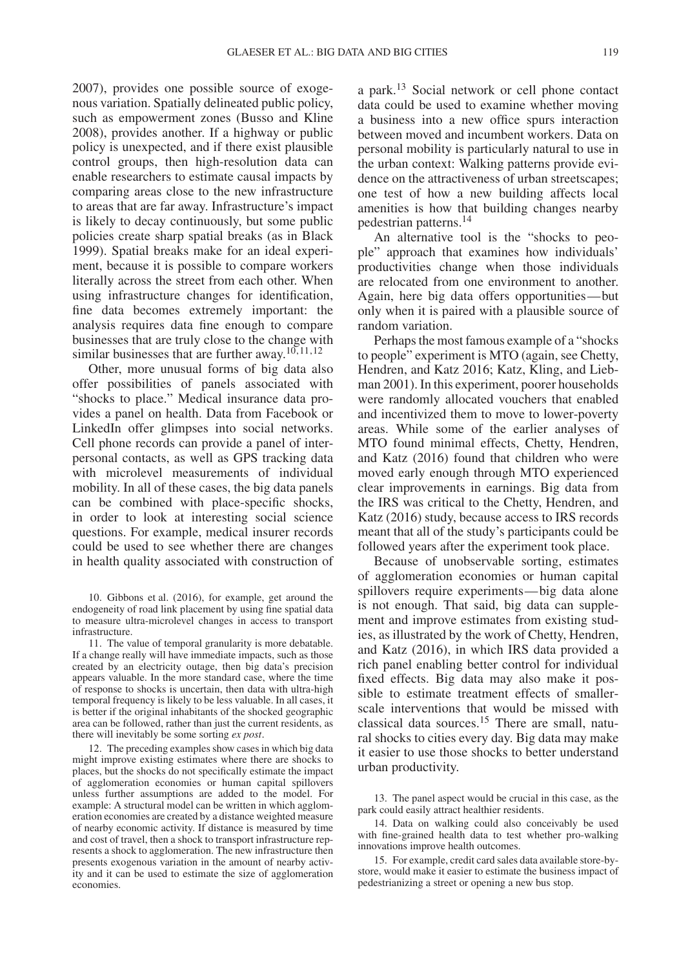2007), provides one possible source of exogenous variation. Spatially delineated public policy, such as empowerment zones (Busso and Kline 2008), provides another. If a highway or public policy is unexpected, and if there exist plausible control groups, then high-resolution data can enable researchers to estimate causal impacts by comparing areas close to the new infrastructure to areas that are far away. Infrastructure's impact is likely to decay continuously, but some public policies create sharp spatial breaks (as in Black 1999). Spatial breaks make for an ideal experiment, because it is possible to compare workers literally across the street from each other. When using infrastructure changes for identification, fine data becomes extremely important: the analysis requires data fine enough to compare businesses that are truly close to the change with similar businesses that are further away.  $10,11,12$  $10,11,12$  $10,11,12$ 

Other, more unusual forms of big data also offer possibilities of panels associated with "shocks to place." Medical insurance data provides a panel on health. Data from Facebook or LinkedIn offer glimpses into social networks. Cell phone records can provide a panel of interpersonal contacts, as well as GPS tracking data with microlevel measurements of individual mobility. In all of these cases, the big data panels can be combined with place-specific shocks, in order to look at interesting social science questions. For example, medical insurer records could be used to see whether there are changes in health quality associated with construction of

<span id="page-5-0"></span>10. Gibbons et al. (2016), for example, get around the endogeneity of road link placement by using fine spatial data to measure ultra-microlevel changes in access to transport infrastructure.

<span id="page-5-1"></span>11. The value of temporal granularity is more debatable. If a change really will have immediate impacts, such as those created by an electricity outage, then big data's precision appears valuable. In the more standard case, where the time of response to shocks is uncertain, then data with ultra-high temporal frequency is likely to be less valuable. In all cases, it is better if the original inhabitants of the shocked geographic area can be followed, rather than just the current residents, as there will inevitably be some sorting *ex post*.

<span id="page-5-2"></span>12. The preceding examples show cases in which big data might improve existing estimates where there are shocks to places, but the shocks do not specifically estimate the impact of agglomeration economies or human capital spillovers unless further assumptions are added to the model. For example: A structural model can be written in which agglomeration economies are created by a distance weighted measure of nearby economic activity. If distance is measured by time and cost of travel, then a shock to transport infrastructure represents a shock to agglomeration. The new infrastructure then presents exogenous variation in the amount of nearby activity and it can be used to estimate the size of agglomeration economies.

a park.[13](#page-5-3) Social network or cell phone contact data could be used to examine whether moving a business into a new office spurs interaction between moved and incumbent workers. Data on personal mobility is particularly natural to use in the urban context: Walking patterns provide evidence on the attractiveness of urban streetscapes; one test of how a new building affects local amenities is how that building changes nearby pedestrian patterns.[14](#page-5-4)

An alternative tool is the "shocks to people" approach that examines how individuals' productivities change when those individuals are relocated from one environment to another. Again, here big data offers opportunities—but only when it is paired with a plausible source of random variation.

Perhaps the most famous example of a "shocks to people" experiment is MTO (again, see Chetty, Hendren, and Katz 2016; Katz, Kling, and Liebman 2001). In this experiment, poorer households were randomly allocated vouchers that enabled and incentivized them to move to lower-poverty areas. While some of the earlier analyses of MTO found minimal effects, Chetty, Hendren, and Katz (2016) found that children who were moved early enough through MTO experienced clear improvements in earnings. Big data from the IRS was critical to the Chetty, Hendren, and Katz (2016) study, because access to IRS records meant that all of the study's participants could be followed years after the experiment took place.

Because of unobservable sorting, estimates of agglomeration economies or human capital spillovers require experiments—big data alone is not enough. That said, big data can supplement and improve estimates from existing studies, as illustrated by the work of Chetty, Hendren, and Katz (2016), in which IRS data provided a rich panel enabling better control for individual fixed effects. Big data may also make it possible to estimate treatment effects of smallerscale interventions that would be missed with classical data sources[.15](#page-5-5) There are small, natural shocks to cities every day. Big data may make it easier to use those shocks to better understand urban productivity.

<span id="page-5-3"></span>13. The panel aspect would be crucial in this case, as the park could easily attract healthier residents.

<span id="page-5-4"></span>14. Data on walking could also conceivably be used with fine-grained health data to test whether pro-walking innovations improve health outcomes.

<span id="page-5-5"></span>15. For example, credit card sales data available store-bystore, would make it easier to estimate the business impact of pedestrianizing a street or opening a new bus stop.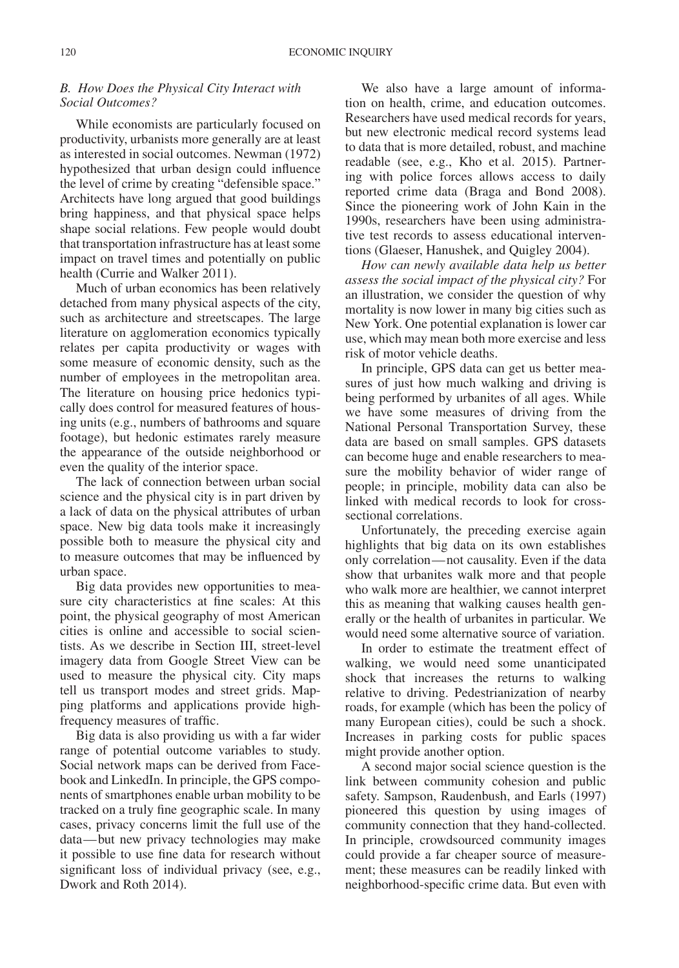# *B. How Does the Physical City Interact with Social Outcomes?*

While economists are particularly focused on productivity, urbanists more generally are at least as interested in social outcomes. Newman (1972) hypothesized that urban design could influence the level of crime by creating "defensible space." Architects have long argued that good buildings bring happiness, and that physical space helps shape social relations. Few people would doubt that transportation infrastructure has at least some impact on travel times and potentially on public health (Currie and Walker 2011).

Much of urban economics has been relatively detached from many physical aspects of the city, such as architecture and streetscapes. The large literature on agglomeration economics typically relates per capita productivity or wages with some measure of economic density, such as the number of employees in the metropolitan area. The literature on housing price hedonics typically does control for measured features of housing units (e.g., numbers of bathrooms and square footage), but hedonic estimates rarely measure the appearance of the outside neighborhood or even the quality of the interior space.

The lack of connection between urban social science and the physical city is in part driven by a lack of data on the physical attributes of urban space. New big data tools make it increasingly possible both to measure the physical city and to measure outcomes that may be influenced by urban space.

Big data provides new opportunities to measure city characteristics at fine scales: At this point, the physical geography of most American cities is online and accessible to social scientists. As we describe in Section III, street-level imagery data from Google Street View can be used to measure the physical city. City maps tell us transport modes and street grids. Mapping platforms and applications provide highfrequency measures of traffic.

Big data is also providing us with a far wider range of potential outcome variables to study. Social network maps can be derived from Facebook and LinkedIn. In principle, the GPS components of smartphones enable urban mobility to be tracked on a truly fine geographic scale. In many cases, privacy concerns limit the full use of the data—but new privacy technologies may make it possible to use fine data for research without significant loss of individual privacy (see, e.g., Dwork and Roth 2014).

We also have a large amount of information on health, crime, and education outcomes. Researchers have used medical records for years, but new electronic medical record systems lead to data that is more detailed, robust, and machine readable (see, e.g., Kho et al. 2015). Partnering with police forces allows access to daily reported crime data (Braga and Bond 2008). Since the pioneering work of John Kain in the 1990s, researchers have been using administrative test records to assess educational interventions (Glaeser, Hanushek, and Quigley 2004).

*How can newly available data help us better assess the social impact of the physical city?* For an illustration, we consider the question of why mortality is now lower in many big cities such as New York. One potential explanation is lower car use, which may mean both more exercise and less risk of motor vehicle deaths.

In principle, GPS data can get us better measures of just how much walking and driving is being performed by urbanites of all ages. While we have some measures of driving from the National Personal Transportation Survey, these data are based on small samples. GPS datasets can become huge and enable researchers to measure the mobility behavior of wider range of people; in principle, mobility data can also be linked with medical records to look for crosssectional correlations.

Unfortunately, the preceding exercise again highlights that big data on its own establishes only correlation—not causality. Even if the data show that urbanites walk more and that people who walk more are healthier, we cannot interpret this as meaning that walking causes health generally or the health of urbanites in particular. We would need some alternative source of variation.

In order to estimate the treatment effect of walking, we would need some unanticipated shock that increases the returns to walking relative to driving. Pedestrianization of nearby roads, for example (which has been the policy of many European cities), could be such a shock. Increases in parking costs for public spaces might provide another option.

A second major social science question is the link between community cohesion and public safety. Sampson, Raudenbush, and Earls (1997) pioneered this question by using images of community connection that they hand-collected. In principle, crowdsourced community images could provide a far cheaper source of measurement; these measures can be readily linked with neighborhood-specific crime data. But even with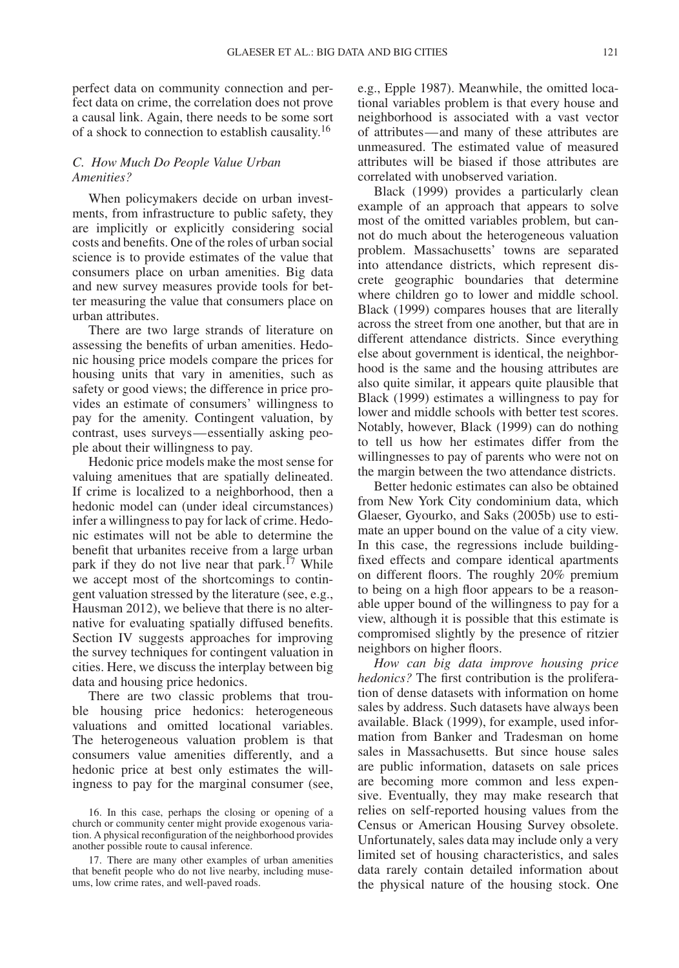perfect data on community connection and perfect data on crime, the correlation does not prove a causal link. Again, there needs to be some sort of a shock to connection to establish causality.<sup>16</sup>

### *C. How Much Do People Value Urban Amenities?*

When policymakers decide on urban investments, from infrastructure to public safety, they are implicitly or explicitly considering social costs and benefits. One of the roles of urban social science is to provide estimates of the value that consumers place on urban amenities. Big data and new survey measures provide tools for better measuring the value that consumers place on urban attributes.

There are two large strands of literature on assessing the benefits of urban amenities. Hedonic housing price models compare the prices for housing units that vary in amenities, such as safety or good views; the difference in price provides an estimate of consumers' willingness to pay for the amenity. Contingent valuation, by contrast, uses surveys—essentially asking people about their willingness to pay.

Hedonic price models make the most sense for valuing amenitues that are spatially delineated. If crime is localized to a neighborhood, then a hedonic model can (under ideal circumstances) infer a willingness to pay for lack of crime. Hedonic estimates will not be able to determine the benefit that urbanites receive from a large urban park if they do not live near that park.<sup>[17](#page-7-1)</sup> While we accept most of the shortcomings to contingent valuation stressed by the literature (see, e.g., Hausman 2012), we believe that there is no alternative for evaluating spatially diffused benefits. Section IV suggests approaches for improving the survey techniques for contingent valuation in cities. Here, we discuss the interplay between big data and housing price hedonics.

There are two classic problems that trouble housing price hedonics: heterogeneous valuations and omitted locational variables. The heterogeneous valuation problem is that consumers value amenities differently, and a hedonic price at best only estimates the willingness to pay for the marginal consumer (see, e.g., Epple 1987). Meanwhile, the omitted locational variables problem is that every house and neighborhood is associated with a vast vector of attributes—and many of these attributes are unmeasured. The estimated value of measured attributes will be biased if those attributes are correlated with unobserved variation.

Black (1999) provides a particularly clean example of an approach that appears to solve most of the omitted variables problem, but cannot do much about the heterogeneous valuation problem. Massachusetts' towns are separated into attendance districts, which represent discrete geographic boundaries that determine where children go to lower and middle school. Black (1999) compares houses that are literally across the street from one another, but that are in different attendance districts. Since everything else about government is identical, the neighborhood is the same and the housing attributes are also quite similar, it appears quite plausible that Black (1999) estimates a willingness to pay for lower and middle schools with better test scores. Notably, however, Black (1999) can do nothing to tell us how her estimates differ from the willingnesses to pay of parents who were not on the margin between the two attendance districts.

Better hedonic estimates can also be obtained from New York City condominium data, which Glaeser, Gyourko, and Saks (2005b) use to estimate an upper bound on the value of a city view. In this case, the regressions include buildingfixed effects and compare identical apartments on different floors. The roughly 20% premium to being on a high floor appears to be a reasonable upper bound of the willingness to pay for a view, although it is possible that this estimate is compromised slightly by the presence of ritzier neighbors on higher floors.

*How can big data improve housing price hedonics?* The first contribution is the proliferation of dense datasets with information on home sales by address. Such datasets have always been available. Black (1999), for example, used information from Banker and Tradesman on home sales in Massachusetts. But since house sales are public information, datasets on sale prices are becoming more common and less expensive. Eventually, they may make research that relies on self-reported housing values from the Census or American Housing Survey obsolete. Unfortunately, sales data may include only a very limited set of housing characteristics, and sales data rarely contain detailed information about the physical nature of the housing stock. One

<span id="page-7-0"></span><sup>16.</sup> In this case, perhaps the closing or opening of a church or community center might provide exogenous variation. A physical reconfiguration of the neighborhood provides another possible route to causal inference.

<span id="page-7-1"></span><sup>17.</sup> There are many other examples of urban amenities that benefit people who do not live nearby, including museums, low crime rates, and well-paved roads.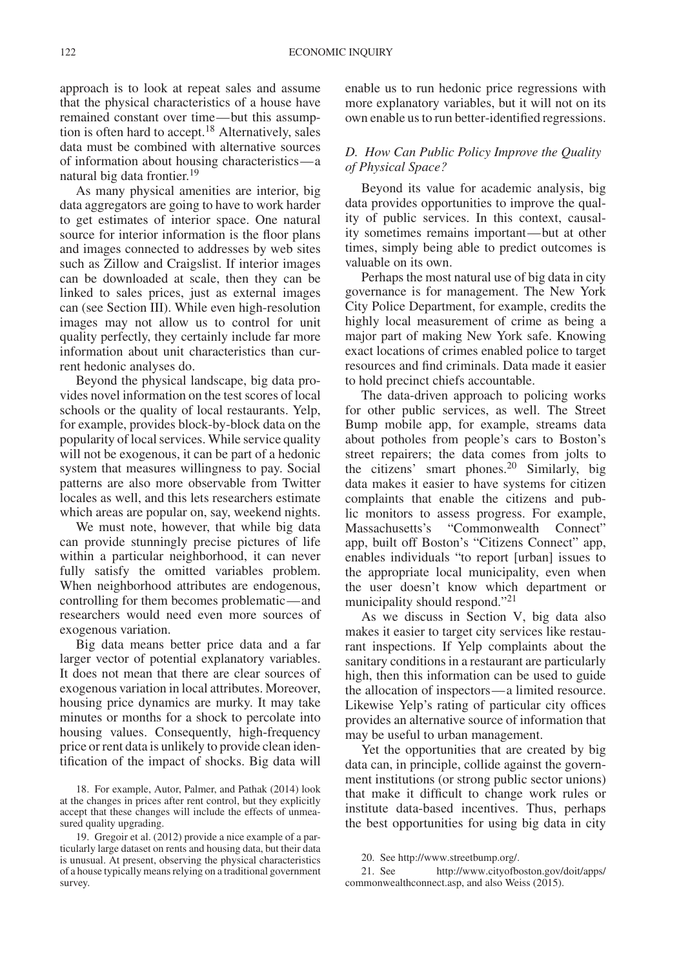approach is to look at repeat sales and assume that the physical characteristics of a house have remained constant over time—but this assump-tion is often hard to accept.<sup>[18](#page-8-0)</sup> Alternatively, sales data must be combined with alternative sources of information about housing characteristics—a natural big data frontier.<sup>19</sup>

As many physical amenities are interior, big data aggregators are going to have to work harder to get estimates of interior space. One natural source for interior information is the floor plans and images connected to addresses by web sites such as Zillow and Craigslist. If interior images can be downloaded at scale, then they can be linked to sales prices, just as external images can (see Section III). While even high-resolution images may not allow us to control for unit quality perfectly, they certainly include far more information about unit characteristics than current hedonic analyses do.

Beyond the physical landscape, big data provides novel information on the test scores of local schools or the quality of local restaurants. Yelp, for example, provides block-by-block data on the popularity of local services. While service quality will not be exogenous, it can be part of a hedonic system that measures willingness to pay. Social patterns are also more observable from Twitter locales as well, and this lets researchers estimate which areas are popular on, say, weekend nights.

We must note, however, that while big data can provide stunningly precise pictures of life within a particular neighborhood, it can never fully satisfy the omitted variables problem. When neighborhood attributes are endogenous, controlling for them becomes problematic—and researchers would need even more sources of exogenous variation.

Big data means better price data and a far larger vector of potential explanatory variables. It does not mean that there are clear sources of exogenous variation in local attributes. Moreover, housing price dynamics are murky. It may take minutes or months for a shock to percolate into housing values. Consequently, high-frequency price or rent data is unlikely to provide clean identification of the impact of shocks. Big data will

<span id="page-8-0"></span>18. For example, Autor, Palmer, and Pathak (2014) look at the changes in prices after rent control, but they explicitly accept that these changes will include the effects of unmeasured quality upgrading.

enable us to run hedonic price regressions with more explanatory variables, but it will not on its own enable us to run better-identified regressions.

# *D. How Can Public Policy Improve the Quality of Physical Space?*

Beyond its value for academic analysis, big data provides opportunities to improve the quality of public services. In this context, causality sometimes remains important—but at other times, simply being able to predict outcomes is valuable on its own.

Perhaps the most natural use of big data in city governance is for management. The New York City Police Department, for example, credits the highly local measurement of crime as being a major part of making New York safe. Knowing exact locations of crimes enabled police to target resources and find criminals. Data made it easier to hold precinct chiefs accountable.

The data-driven approach to policing works for other public services, as well. The Street Bump mobile app, for example, streams data about potholes from people's cars to Boston's street repairers; the data comes from jolts to the citizens' smart phones.<sup>20</sup> Similarly, big data makes it easier to have systems for citizen complaints that enable the citizens and public monitors to assess progress. For example, Massachusetts's "Commonwealth Connect" app, built off Boston's "Citizens Connect" app, enables individuals "to report [urban] issues to the appropriate local municipality, even when the user doesn't know which department or municipality should respond."<sup>21</sup>

As we discuss in Section V, big data also makes it easier to target city services like restaurant inspections. If Yelp complaints about the sanitary conditions in a restaurant are particularly high, then this information can be used to guide the allocation of inspectors—a limited resource. Likewise Yelp's rating of particular city offices provides an alternative source of information that may be useful to urban management.

Yet the opportunities that are created by big data can, in principle, collide against the government institutions (or strong public sector unions) that make it difficult to change work rules or institute data-based incentives. Thus, perhaps the best opportunities for using big data in city

<span id="page-8-1"></span><sup>19.</sup> Gregoir et al. (2012) provide a nice example of a particularly large dataset on rents and housing data, but their data is unusual. At present, observing the physical characteristics of a house typically means relying on a traditional government survey.

<span id="page-8-3"></span><span id="page-8-2"></span><sup>20.</sup> See [http://www.streetbump.org/.](http://www.streetbump.org/)

<sup>21.</sup> See [http://www.cityofboston.gov/doit/apps/](http://www.cityofboston.gov/doit/apps/commonwealthconnect.asp) [commonwealthconnect.asp,](http://www.cityofboston.gov/doit/apps/commonwealthconnect.asp) and also Weiss (2015).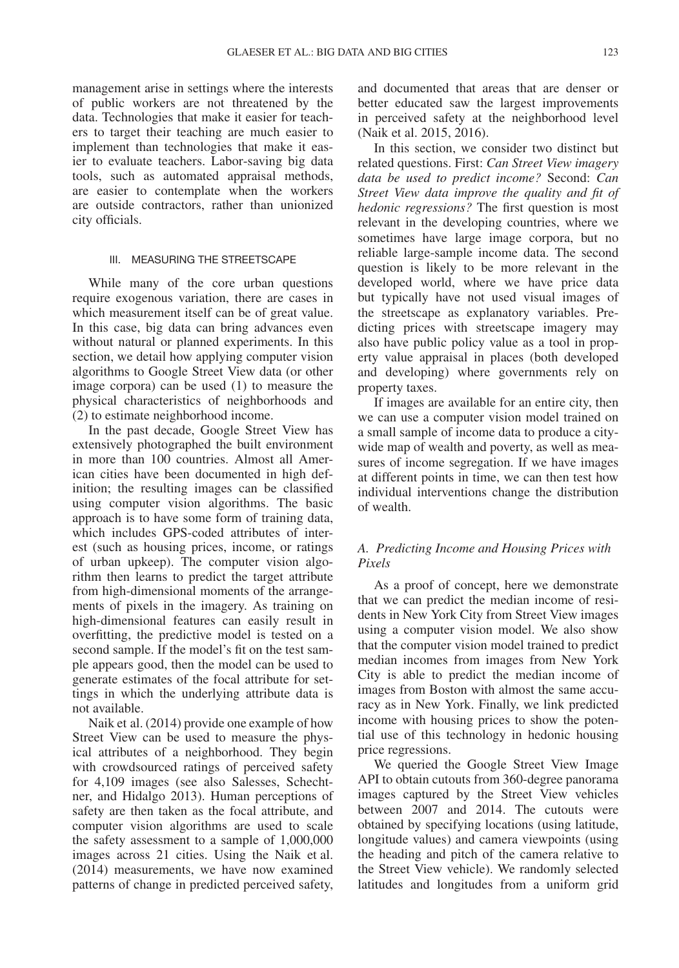management arise in settings where the interests of public workers are not threatened by the data. Technologies that make it easier for teachers to target their teaching are much easier to implement than technologies that make it easier to evaluate teachers. Labor-saving big data tools, such as automated appraisal methods, are easier to contemplate when the workers are outside contractors, rather than unionized city officials.

### III. MEASURING THE STREETSCAPE

While many of the core urban questions require exogenous variation, there are cases in which measurement itself can be of great value. In this case, big data can bring advances even without natural or planned experiments. In this section, we detail how applying computer vision algorithms to Google Street View data (or other image corpora) can be used (1) to measure the physical characteristics of neighborhoods and (2) to estimate neighborhood income.

In the past decade, Google Street View has extensively photographed the built environment in more than 100 countries. Almost all American cities have been documented in high definition; the resulting images can be classified using computer vision algorithms. The basic approach is to have some form of training data, which includes GPS-coded attributes of interest (such as housing prices, income, or ratings of urban upkeep). The computer vision algorithm then learns to predict the target attribute from high-dimensional moments of the arrangements of pixels in the imagery. As training on high-dimensional features can easily result in overfitting, the predictive model is tested on a second sample. If the model's fit on the test sample appears good, then the model can be used to generate estimates of the focal attribute for settings in which the underlying attribute data is not available.

Naik et al. (2014) provide one example of how Street View can be used to measure the physical attributes of a neighborhood. They begin with crowdsourced ratings of perceived safety for 4,109 images (see also Salesses, Schechtner, and Hidalgo 2013). Human perceptions of safety are then taken as the focal attribute, and computer vision algorithms are used to scale the safety assessment to a sample of 1,000,000 images across 21 cities. Using the Naik et al. (2014) measurements, we have now examined patterns of change in predicted perceived safety, and documented that areas that are denser or better educated saw the largest improvements in perceived safety at the neighborhood level (Naik et al. 2015, 2016).

In this section, we consider two distinct but related questions. First: *Can Street View imagery data be used to predict income?* Second: *Can Street View data improve the quality and fit of hedonic regressions?* The first question is most relevant in the developing countries, where we sometimes have large image corpora, but no reliable large-sample income data. The second question is likely to be more relevant in the developed world, where we have price data but typically have not used visual images of the streetscape as explanatory variables. Predicting prices with streetscape imagery may also have public policy value as a tool in property value appraisal in places (both developed and developing) where governments rely on property taxes.

If images are available for an entire city, then we can use a computer vision model trained on a small sample of income data to produce a citywide map of wealth and poverty, as well as measures of income segregation. If we have images at different points in time, we can then test how individual interventions change the distribution of wealth.

# *A. Predicting Income and Housing Prices with Pixels*

As a proof of concept, here we demonstrate that we can predict the median income of residents in New York City from Street View images using a computer vision model. We also show that the computer vision model trained to predict median incomes from images from New York City is able to predict the median income of images from Boston with almost the same accuracy as in New York. Finally, we link predicted income with housing prices to show the potential use of this technology in hedonic housing price regressions.

We queried the Google Street View Image API to obtain cutouts from 360-degree panorama images captured by the Street View vehicles between 2007 and 2014. The cutouts were obtained by specifying locations (using latitude, longitude values) and camera viewpoints (using the heading and pitch of the camera relative to the Street View vehicle). We randomly selected latitudes and longitudes from a uniform grid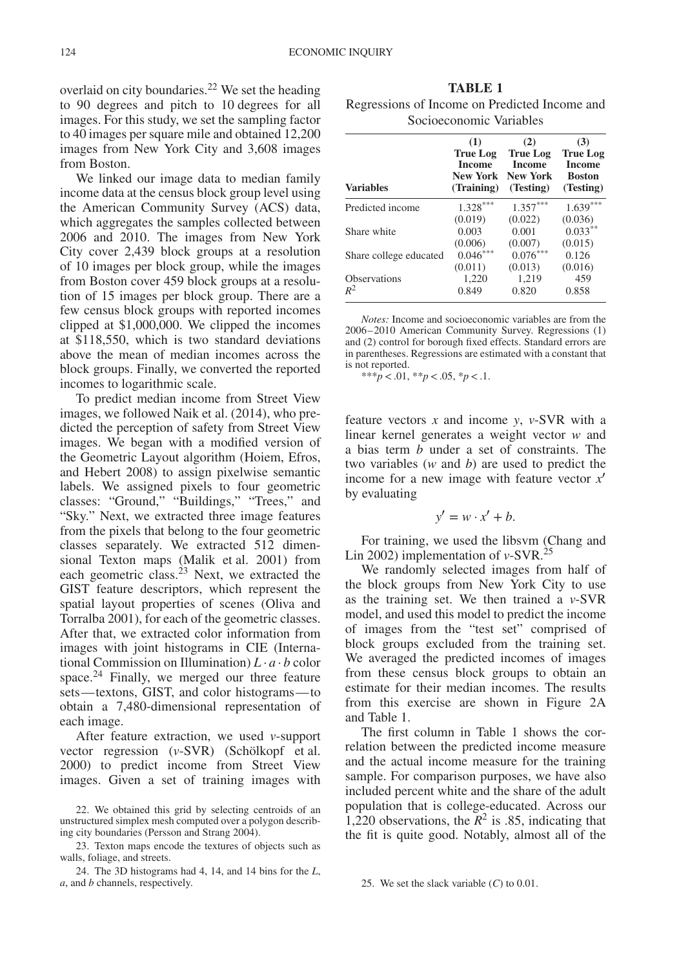overlaid on city boundaries.<sup>22</sup> We set the heading to 90 degrees and pitch to 10 degrees for all images. For this study, we set the sampling factor to 40 images per square mile and obtained 12,200 images from New York City and 3,608 images from Boston.

We linked our image data to median family income data at the census block group level using the American Community Survey (ACS) data, which aggregates the samples collected between 2006 and 2010. The images from New York City cover 2,439 block groups at a resolution of 10 images per block group, while the images from Boston cover 459 block groups at a resolution of 15 images per block group. There are a few census block groups with reported incomes clipped at \$1,000,000. We clipped the incomes at \$118,550, which is two standard deviations above the mean of median incomes across the block groups. Finally, we converted the reported incomes to logarithmic scale.

To predict median income from Street View images, we followed Naik et al. (2014), who predicted the perception of safety from Street View images. We began with a modified version of the Geometric Layout algorithm (Hoiem, Efros, and Hebert 2008) to assign pixelwise semantic labels. We assigned pixels to four geometric classes: "Ground," "Buildings," "Trees," and "Sky." Next, we extracted three image features from the pixels that belong to the four geometric classes separately. We extracted 512 dimensional Texton maps (Malik et al. 2001) from each geometric class[.23](#page-10-1) Next, we extracted the GIST feature descriptors, which represent the spatial layout properties of scenes (Oliva and Torralba 2001), for each of the geometric classes. After that, we extracted color information from images with joint histograms in CIE (International Commission on Illumination)  $L \cdot a \cdot b$  color space.<sup>[24](#page-10-2)</sup> Finally, we merged our three feature sets—textons, GIST, and color histograms—to obtain a 7,480-dimensional representation of each image.

After feature extraction, we used *v*-support vector regression (*v*-SVR) (Schölkopf et al. 2000) to predict income from Street View images. Given a set of training images with

<span id="page-10-0"></span>22. We obtained this grid by selecting centroids of an unstructured simplex mesh computed over a polygon describing city boundaries (Persson and Strang 2004).

<span id="page-10-1"></span>23. Texton maps encode the textures of objects such as walls, foliage, and streets.

**TABLE 1** Regressions of Income on Predicted Income and Socioeconomic Variables

| <b>Variables</b>       | (1)<br><b>True Log</b><br><b>Income</b><br><b>New York</b><br>(Training) | (2)<br><b>True Log</b><br><b>Income</b><br><b>New York</b><br>(Testing) | (3)<br><b>True Log</b><br><b>Income</b><br><b>Boston</b><br>(Testing) |
|------------------------|--------------------------------------------------------------------------|-------------------------------------------------------------------------|-----------------------------------------------------------------------|
| Predicted income       | $1.328***$                                                               | $1.357***$                                                              | $1.639***$                                                            |
|                        | (0.019)                                                                  | (0.022)                                                                 | (0.036)                                                               |
| Share white            | 0.003                                                                    | 0.001                                                                   | $0.033***$                                                            |
|                        | (0.006)                                                                  | (0.007)                                                                 | (0.015)                                                               |
| Share college educated | $0.046***$                                                               | $0.076***$                                                              | 0.126                                                                 |
|                        | (0.011)                                                                  | (0.013)                                                                 | (0.016)                                                               |
| <b>Observations</b>    | 1,220                                                                    | 1,219                                                                   | 459                                                                   |
| $R^2$                  | 0.849                                                                    | 0.820                                                                   | 0.858                                                                 |

*Notes:* Income and socioeconomic variables are from the 2006–2010 American Community Survey. Regressions (1) and (2) control for borough fixed effects. Standard errors are in parentheses. Regressions are estimated with a constant that is not reported.

\*\*\**p<*.01, \*\**p<*.05, \**p<*.1.

feature vectors *x* and income *y*, *v*-SVR with a linear kernel generates a weight vector *w* and a bias term *b* under a set of constraints. The two variables (*w* and *b*) are used to predict the income for a new image with feature vector *x*′ by evaluating

$$
y' = w \cdot x' + b.
$$

For training, we used the libsvm (Chang and Lin 2002) implementation of  $v$ -SVR.<sup>[25](#page-10-3)</sup>

We randomly selected images from half of the block groups from New York City to use as the training set. We then trained a *v*-SVR model, and used this model to predict the income of images from the "test set" comprised of block groups excluded from the training set. We averaged the predicted incomes of images from these census block groups to obtain an estimate for their median incomes. The results from this exercise are shown in Figure 2A and Table 1.

The first column in Table 1 shows the correlation between the predicted income measure and the actual income measure for the training sample. For comparison purposes, we have also included percent white and the share of the adult population that is college-educated. Across our 1,220 observations, the  $\mathbb{R}^2$  is .85, indicating that the fit is quite good. Notably, almost all of the

<span id="page-10-2"></span><sup>24.</sup> The 3D histograms had 4, 14, and 14 bins for the *L*, *a*, and *b* channels, respectively.

<span id="page-10-3"></span><sup>25.</sup> We set the slack variable (*C*) to 0.01.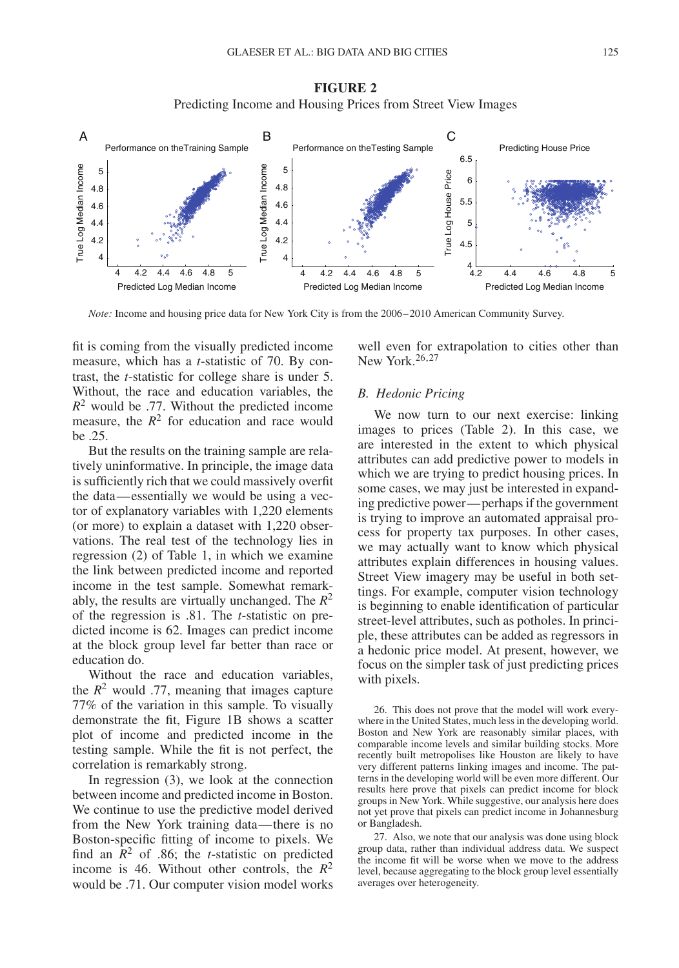



*Note:* Income and housing price data for New York City is from the 2006–2010 American Community Survey.

fit is coming from the visually predicted income measure, which has a *t*-statistic of 70. By contrast, the *t*-statistic for college share is under 5. Without, the race and education variables, the  $R^2$  would be .77. Without the predicted income measure, the  $R^2$  for education and race would be .25.

But the results on the training sample are relatively uninformative. In principle, the image data is sufficiently rich that we could massively overfit the data—essentially we would be using a vector of explanatory variables with 1,220 elements (or more) to explain a dataset with 1,220 observations. The real test of the technology lies in regression (2) of Table 1, in which we examine the link between predicted income and reported income in the test sample. Somewhat remarkably, the results are virtually unchanged. The  $R^2$ of the regression is .81. The *t*-statistic on predicted income is 62. Images can predict income at the block group level far better than race or education do.

Without the race and education variables, the  $R^2$  would .77, meaning that images capture 77% of the variation in this sample. To visually demonstrate the fit, Figure 1B shows a scatter plot of income and predicted income in the testing sample. While the fit is not perfect, the correlation is remarkably strong.

In regression (3), we look at the connection between income and predicted income in Boston. We continue to use the predictive model derived from the New York training data—there is no Boston-specific fitting of income to pixels. We find an  $\mathbb{R}^2$  of .86; the *t*-statistic on predicted income is 46. Without other controls, the  $R^2$ would be .71. Our computer vision model works well even for extrapolation to cities other than New York.<sup>[26](#page-11-0)[,27](#page-11-1)</sup>

# *B. Hedonic Pricing*

We now turn to our next exercise: linking images to prices (Table 2). In this case, we are interested in the extent to which physical attributes can add predictive power to models in which we are trying to predict housing prices. In some cases, we may just be interested in expanding predictive power—perhaps if the government is trying to improve an automated appraisal process for property tax purposes. In other cases, we may actually want to know which physical attributes explain differences in housing values. Street View imagery may be useful in both settings. For example, computer vision technology is beginning to enable identification of particular street-level attributes, such as potholes. In principle, these attributes can be added as regressors in a hedonic price model. At present, however, we focus on the simpler task of just predicting prices with pixels.

<span id="page-11-0"></span>26. This does not prove that the model will work everywhere in the United States, much less in the developing world. Boston and New York are reasonably similar places, with comparable income levels and similar building stocks. More recently built metropolises like Houston are likely to have very different patterns linking images and income. The patterns in the developing world will be even more different. Our results here prove that pixels can predict income for block groups in New York. While suggestive, our analysis here does not yet prove that pixels can predict income in Johannesburg or Bangladesh.

<span id="page-11-1"></span>27. Also, we note that our analysis was done using block group data, rather than individual address data. We suspect the income fit will be worse when we move to the address level, because aggregating to the block group level essentially averages over heterogeneity.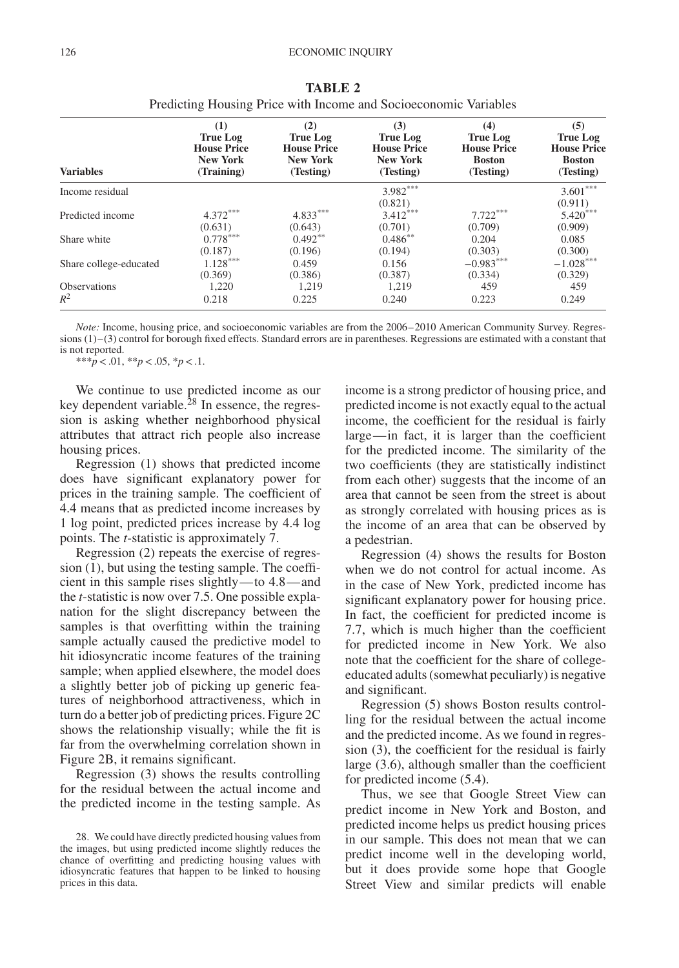| <b>Variables</b>       | (1)<br><b>True Log</b><br><b>House Price</b><br><b>New York</b><br>(Training) | (2)<br><b>True Log</b><br><b>House Price</b><br><b>New York</b><br>(Testing) | (3)<br><b>True Log</b><br><b>House Price</b><br><b>New York</b><br>(Testing) | (4)<br><b>True Log</b><br><b>House Price</b><br><b>Boston</b><br>(Testing) | (5)<br><b>True Log</b><br><b>House Price</b><br><b>Boston</b><br>(Testing) |
|------------------------|-------------------------------------------------------------------------------|------------------------------------------------------------------------------|------------------------------------------------------------------------------|----------------------------------------------------------------------------|----------------------------------------------------------------------------|
| Income residual        |                                                                               |                                                                              | $3.982***$                                                                   |                                                                            | $3.601***$                                                                 |
|                        |                                                                               |                                                                              | (0.821)                                                                      |                                                                            | (0.911)                                                                    |
| Predicted income       | $4.372***$<br>(0.631)                                                         | $4.833***$<br>(0.643)                                                        | $3.412***$<br>(0.701)                                                        | $7.722***$<br>(0.709)                                                      | $5.420***$<br>(0.909)                                                      |
| Share white            | $0.778***$                                                                    | $0.492**$                                                                    | $0.486***$                                                                   | 0.204                                                                      | 0.085                                                                      |
|                        | (0.187)                                                                       | (0.196)                                                                      | (0.194)                                                                      | (0.303)                                                                    | (0.300)                                                                    |
| Share college-educated | $1.128***$                                                                    | 0.459                                                                        | 0.156                                                                        | $-0.983***$                                                                | $-1.028***$                                                                |
|                        | (0.369)                                                                       | (0.386)                                                                      | (0.387)                                                                      | (0.334)                                                                    | (0.329)                                                                    |
| <b>Observations</b>    | 1,220                                                                         | 1,219                                                                        | 1,219                                                                        | 459                                                                        | 459                                                                        |
| $R^2$                  | 0.218                                                                         | 0.225                                                                        | 0.240                                                                        | 0.223                                                                      | 0.249                                                                      |

**TABLE 2** Predicting Housing Price with Income and Socioeconomic Variables

*Note:* Income, housing price, and socioeconomic variables are from the 2006–2010 American Community Survey. Regressions (1)– (3) control for borough fixed effects. Standard errors are in parentheses. Regressions are estimated with a constant that is not reported.

\*\*\**p<*.01, \*\**p<*.05, \**p<*.1.

We continue to use predicted income as our key dependent variable. $^{28}$  $^{28}$  $^{28}$  In essence, the regression is asking whether neighborhood physical attributes that attract rich people also increase housing prices.

Regression (1) shows that predicted income does have significant explanatory power for prices in the training sample. The coefficient of 4.4 means that as predicted income increases by 1 log point, predicted prices increase by 4.4 log points. The *t*-statistic is approximately 7.

Regression (2) repeats the exercise of regression (1), but using the testing sample. The coefficient in this sample rises slightly—to 4.8—and the *t*-statistic is now over 7.5. One possible explanation for the slight discrepancy between the samples is that overfitting within the training sample actually caused the predictive model to hit idiosyncratic income features of the training sample; when applied elsewhere, the model does a slightly better job of picking up generic features of neighborhood attractiveness, which in turn do a better job of predicting prices. Figure 2C shows the relationship visually; while the fit is far from the overwhelming correlation shown in Figure 2B, it remains significant.

Regression (3) shows the results controlling for the residual between the actual income and the predicted income in the testing sample. As

income is a strong predictor of housing price, and predicted income is not exactly equal to the actual income, the coefficient for the residual is fairly large—in fact, it is larger than the coefficient for the predicted income. The similarity of the two coefficients (they are statistically indistinct from each other) suggests that the income of an area that cannot be seen from the street is about as strongly correlated with housing prices as is the income of an area that can be observed by a pedestrian.

Regression (4) shows the results for Boston when we do not control for actual income. As in the case of New York, predicted income has significant explanatory power for housing price. In fact, the coefficient for predicted income is 7.7, which is much higher than the coefficient for predicted income in New York. We also note that the coefficient for the share of collegeeducated adults (somewhat peculiarly) is negative and significant.

Regression (5) shows Boston results controlling for the residual between the actual income and the predicted income. As we found in regression (3), the coefficient for the residual is fairly large (3.6), although smaller than the coefficient for predicted income (5.4).

Thus, we see that Google Street View can predict income in New York and Boston, and predicted income helps us predict housing prices in our sample. This does not mean that we can predict income well in the developing world, but it does provide some hope that Google Street View and similar predicts will enable

<span id="page-12-0"></span><sup>28.</sup> We could have directly predicted housing values from the images, but using predicted income slightly reduces the chance of overfitting and predicting housing values with idiosyncratic features that happen to be linked to housing prices in this data.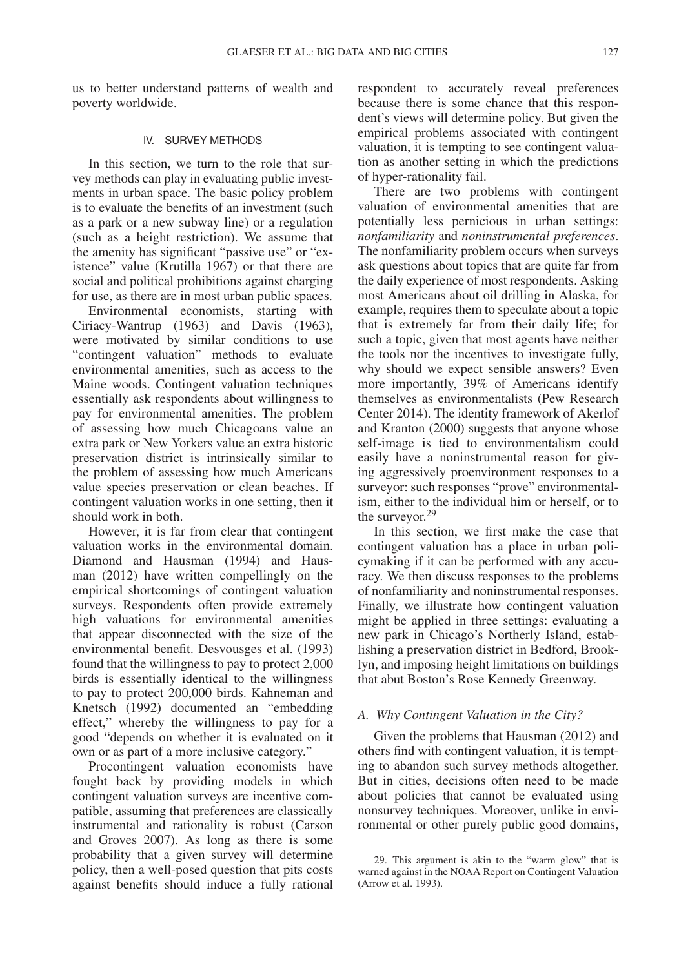us to better understand patterns of wealth and poverty worldwide.

### IV. SURVEY METHODS

In this section, we turn to the role that survey methods can play in evaluating public investments in urban space. The basic policy problem is to evaluate the benefits of an investment (such as a park or a new subway line) or a regulation (such as a height restriction). We assume that the amenity has significant "passive use" or "existence" value (Krutilla 1967) or that there are social and political prohibitions against charging for use, as there are in most urban public spaces.

Environmental economists, starting with Ciriacy-Wantrup (1963) and Davis (1963), were motivated by similar conditions to use "contingent valuation" methods to evaluate environmental amenities, such as access to the Maine woods. Contingent valuation techniques essentially ask respondents about willingness to pay for environmental amenities. The problem of assessing how much Chicagoans value an extra park or New Yorkers value an extra historic preservation district is intrinsically similar to the problem of assessing how much Americans value species preservation or clean beaches. If contingent valuation works in one setting, then it should work in both.

However, it is far from clear that contingent valuation works in the environmental domain. Diamond and Hausman (1994) and Hausman (2012) have written compellingly on the empirical shortcomings of contingent valuation surveys. Respondents often provide extremely high valuations for environmental amenities that appear disconnected with the size of the environmental benefit. Desvousges et al. (1993) found that the willingness to pay to protect 2,000 birds is essentially identical to the willingness to pay to protect 200,000 birds. Kahneman and Knetsch (1992) documented an "embedding effect," whereby the willingness to pay for a good "depends on whether it is evaluated on it own or as part of a more inclusive category."

Procontingent valuation economists have fought back by providing models in which contingent valuation surveys are incentive compatible, assuming that preferences are classically instrumental and rationality is robust (Carson and Groves 2007). As long as there is some probability that a given survey will determine policy, then a well-posed question that pits costs against benefits should induce a fully rational respondent to accurately reveal preferences because there is some chance that this respondent's views will determine policy. But given the empirical problems associated with contingent valuation, it is tempting to see contingent valuation as another setting in which the predictions of hyper-rationality fail.

There are two problems with contingent valuation of environmental amenities that are potentially less pernicious in urban settings: *nonfamiliarity* and *noninstrumental preferences*. The nonfamiliarity problem occurs when surveys ask questions about topics that are quite far from the daily experience of most respondents. Asking most Americans about oil drilling in Alaska, for example, requires them to speculate about a topic that is extremely far from their daily life; for such a topic, given that most agents have neither the tools nor the incentives to investigate fully, why should we expect sensible answers? Even more importantly, 39% of Americans identify themselves as environmentalists (Pew Research Center 2014). The identity framework of Akerlof and Kranton (2000) suggests that anyone whose self-image is tied to environmentalism could easily have a noninstrumental reason for giving aggressively proenvironment responses to a surveyor: such responses "prove" environmentalism, either to the individual him or herself, or to the surveyor.<sup>[29](#page-13-0)</sup>

In this section, we first make the case that contingent valuation has a place in urban policymaking if it can be performed with any accuracy. We then discuss responses to the problems of nonfamiliarity and noninstrumental responses. Finally, we illustrate how contingent valuation might be applied in three settings: evaluating a new park in Chicago's Northerly Island, establishing a preservation district in Bedford, Brooklyn, and imposing height limitations on buildings that abut Boston's Rose Kennedy Greenway.

### *A. Why Contingent Valuation in the City?*

Given the problems that Hausman (2012) and others find with contingent valuation, it is tempting to abandon such survey methods altogether. But in cities, decisions often need to be made about policies that cannot be evaluated using nonsurvey techniques. Moreover, unlike in environmental or other purely public good domains,

<span id="page-13-0"></span><sup>29.</sup> This argument is akin to the "warm glow" that is warned against in the NOAA Report on Contingent Valuation (Arrow et al. 1993).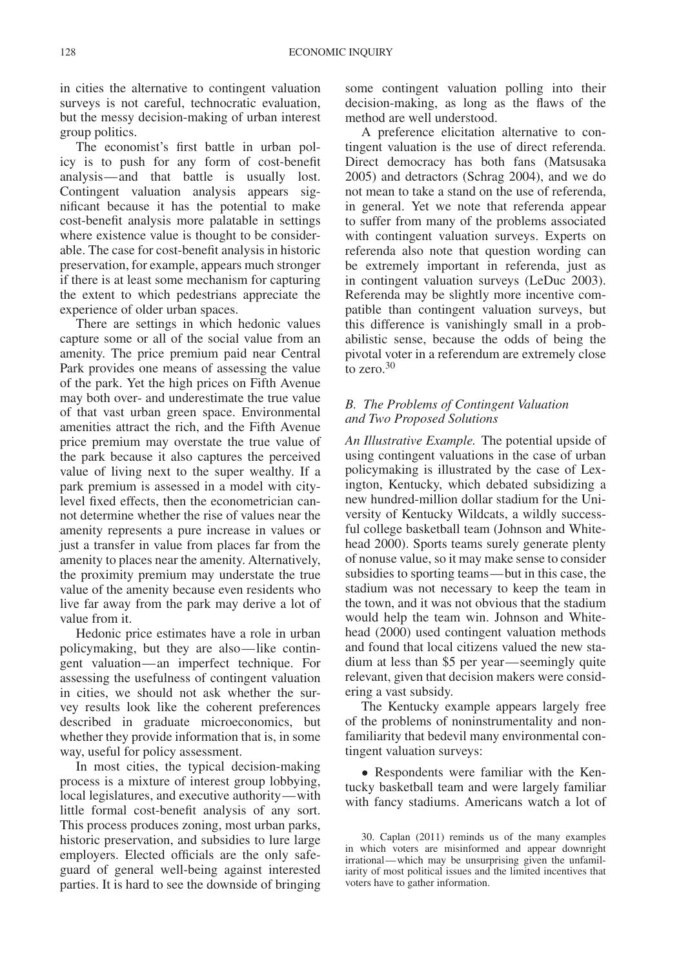in cities the alternative to contingent valuation surveys is not careful, technocratic evaluation, but the messy decision-making of urban interest group politics.

The economist's first battle in urban policy is to push for any form of cost-benefit analysis—and that battle is usually lost. Contingent valuation analysis appears significant because it has the potential to make cost-benefit analysis more palatable in settings where existence value is thought to be considerable. The case for cost-benefit analysis in historic preservation, for example, appears much stronger if there is at least some mechanism for capturing the extent to which pedestrians appreciate the experience of older urban spaces.

There are settings in which hedonic values capture some or all of the social value from an amenity. The price premium paid near Central Park provides one means of assessing the value of the park. Yet the high prices on Fifth Avenue may both over- and underestimate the true value of that vast urban green space. Environmental amenities attract the rich, and the Fifth Avenue price premium may overstate the true value of the park because it also captures the perceived value of living next to the super wealthy. If a park premium is assessed in a model with citylevel fixed effects, then the econometrician cannot determine whether the rise of values near the amenity represents a pure increase in values or just a transfer in value from places far from the amenity to places near the amenity. Alternatively, the proximity premium may understate the true value of the amenity because even residents who live far away from the park may derive a lot of value from it.

Hedonic price estimates have a role in urban policymaking, but they are also—like contingent valuation—an imperfect technique. For assessing the usefulness of contingent valuation in cities, we should not ask whether the survey results look like the coherent preferences described in graduate microeconomics, but whether they provide information that is, in some way, useful for policy assessment.

In most cities, the typical decision-making process is a mixture of interest group lobbying, local legislatures, and executive authority—with little formal cost-benefit analysis of any sort. This process produces zoning, most urban parks, historic preservation, and subsidies to lure large employers. Elected officials are the only safeguard of general well-being against interested parties. It is hard to see the downside of bringing

some contingent valuation polling into their decision-making, as long as the flaws of the method are well understood.

A preference elicitation alternative to contingent valuation is the use of direct referenda. Direct democracy has both fans (Matsusaka 2005) and detractors (Schrag 2004), and we do not mean to take a stand on the use of referenda, in general. Yet we note that referenda appear to suffer from many of the problems associated with contingent valuation surveys. Experts on referenda also note that question wording can be extremely important in referenda, just as in contingent valuation surveys (LeDuc 2003). Referenda may be slightly more incentive compatible than contingent valuation surveys, but this difference is vanishingly small in a probabilistic sense, because the odds of being the pivotal voter in a referendum are extremely close to zero. $30$ 

# *B. The Problems of Contingent Valuation and Two Proposed Solutions*

*An Illustrative Example.* The potential upside of using contingent valuations in the case of urban policymaking is illustrated by the case of Lexington, Kentucky, which debated subsidizing a new hundred-million dollar stadium for the University of Kentucky Wildcats, a wildly successful college basketball team (Johnson and Whitehead 2000). Sports teams surely generate plenty of nonuse value, so it may make sense to consider subsidies to sporting teams—but in this case, the stadium was not necessary to keep the team in the town, and it was not obvious that the stadium would help the team win. Johnson and Whitehead (2000) used contingent valuation methods and found that local citizens valued the new stadium at less than \$5 per year—seemingly quite relevant, given that decision makers were considering a vast subsidy.

The Kentucky example appears largely free of the problems of noninstrumentality and nonfamiliarity that bedevil many environmental contingent valuation surveys:

• Respondents were familiar with the Kentucky basketball team and were largely familiar with fancy stadiums. Americans watch a lot of

<span id="page-14-0"></span><sup>30.</sup> Caplan (2011) reminds us of the many examples in which voters are misinformed and appear downright irrational—which may be unsurprising given the unfamiliarity of most political issues and the limited incentives that voters have to gather information.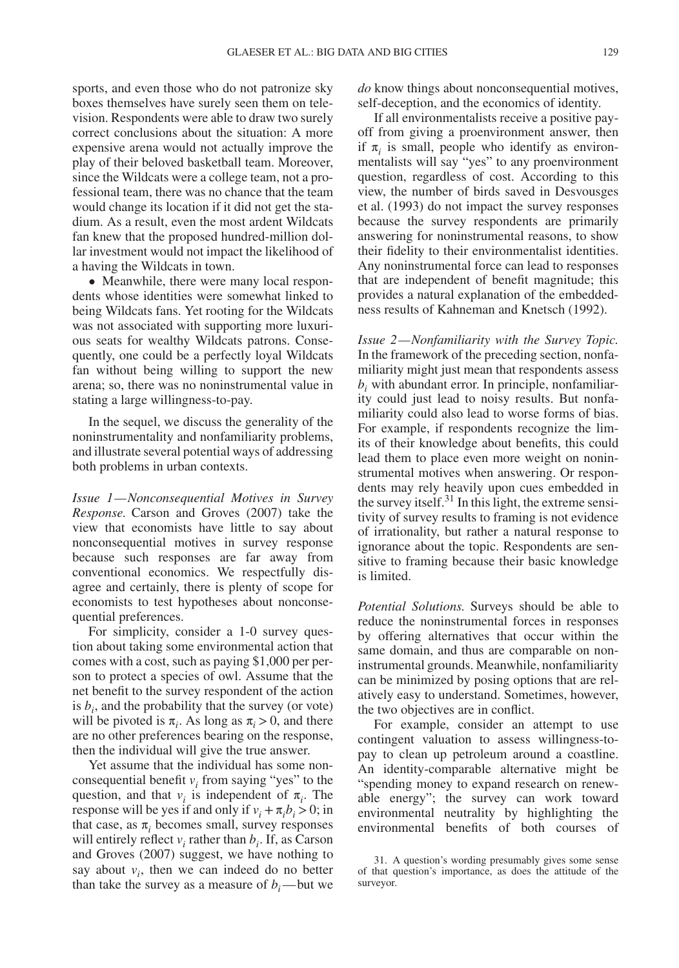sports, and even those who do not patronize sky boxes themselves have surely seen them on television. Respondents were able to draw two surely correct conclusions about the situation: A more expensive arena would not actually improve the play of their beloved basketball team. Moreover, since the Wildcats were a college team, not a professional team, there was no chance that the team would change its location if it did not get the stadium. As a result, even the most ardent Wildcats fan knew that the proposed hundred-million dollar investment would not impact the likelihood of a having the Wildcats in town.

• Meanwhile, there were many local respondents whose identities were somewhat linked to being Wildcats fans. Yet rooting for the Wildcats was not associated with supporting more luxurious seats for wealthy Wildcats patrons. Consequently, one could be a perfectly loyal Wildcats fan without being willing to support the new arena; so, there was no noninstrumental value in stating a large willingness-to-pay.

In the sequel, we discuss the generality of the noninstrumentality and nonfamiliarity problems, and illustrate several potential ways of addressing both problems in urban contexts.

*Issue 1—Nonconsequential Motives in Survey Response.* Carson and Groves (2007) take the view that economists have little to say about nonconsequential motives in survey response because such responses are far away from conventional economics. We respectfully disagree and certainly, there is plenty of scope for economists to test hypotheses about nonconsequential preferences.

For simplicity, consider a 1-0 survey question about taking some environmental action that comes with a cost, such as paying \$1,000 per person to protect a species of owl. Assume that the net benefit to the survey respondent of the action is  $b_i$ , and the probability that the survey (or vote) will be pivoted is  $\pi_i$ . As long as  $\pi_i > 0$ , and there are no other preferences bearing on the response, then the individual will give the true answer.

Yet assume that the individual has some nonconsequential benefit  $v_i$  from saying "yes" to the question, and that  $v_i$  is independent of  $\pi_i$ . The response will be yes if and only if  $v_i + \pi_i b_i > 0$ ; in that case, as  $\pi$ <sub>*i*</sub> becomes small, survey responses will entirely reflect  $v_i$  rather than  $b_i$ . If, as Carson and Groves (2007) suggest, we have nothing to say about  $v_i$ , then we can indeed do no better than take the survey as a measure of  $b_i$ —but we *do* know things about nonconsequential motives, self-deception, and the economics of identity.

If all environmentalists receive a positive payoff from giving a proenvironment answer, then if  $\pi$ <sub>*i*</sub> is small, people who identify as environmentalists will say "yes" to any proenvironment question, regardless of cost. According to this view, the number of birds saved in Desvousges et al. (1993) do not impact the survey responses because the survey respondents are primarily answering for noninstrumental reasons, to show their fidelity to their environmentalist identities. Any noninstrumental force can lead to responses that are independent of benefit magnitude; this provides a natural explanation of the embeddedness results of Kahneman and Knetsch (1992).

*Issue 2—Nonfamiliarity with the Survey Topic.* In the framework of the preceding section, nonfamiliarity might just mean that respondents assess  $b_i$  with abundant error. In principle, nonfamiliarity could just lead to noisy results. But nonfamiliarity could also lead to worse forms of bias. For example, if respondents recognize the limits of their knowledge about benefits, this could lead them to place even more weight on noninstrumental motives when answering. Or respondents may rely heavily upon cues embedded in the survey itself. $31$  In this light, the extreme sensitivity of survey results to framing is not evidence of irrationality, but rather a natural response to ignorance about the topic. Respondents are sensitive to framing because their basic knowledge is limited.

*Potential Solutions.* Surveys should be able to reduce the noninstrumental forces in responses by offering alternatives that occur within the same domain, and thus are comparable on noninstrumental grounds. Meanwhile, nonfamiliarity can be minimized by posing options that are relatively easy to understand. Sometimes, however, the two objectives are in conflict.

For example, consider an attempt to use contingent valuation to assess willingness-topay to clean up petroleum around a coastline. An identity-comparable alternative might be "spending money to expand research on renewable energy"; the survey can work toward environmental neutrality by highlighting the environmental benefits of both courses of

<span id="page-15-0"></span><sup>31.</sup> A question's wording presumably gives some sense of that question's importance, as does the attitude of the surveyor.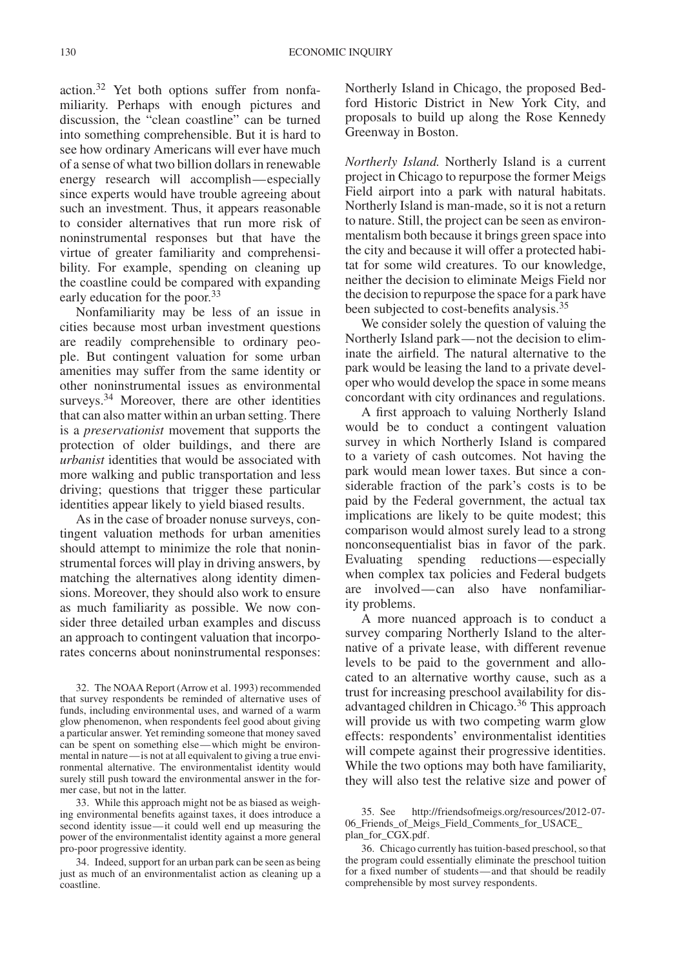action.[32](#page-16-0) Yet both options suffer from nonfamiliarity. Perhaps with enough pictures and discussion, the "clean coastline" can be turned into something comprehensible. But it is hard to see how ordinary Americans will ever have much of a sense of what two billion dollars in renewable energy research will accomplish—especially since experts would have trouble agreeing about such an investment. Thus, it appears reasonable to consider alternatives that run more risk of noninstrumental responses but that have the virtue of greater familiarity and comprehensibility. For example, spending on cleaning up the coastline could be compared with expanding early education for the poor.<sup>33</sup>

Nonfamiliarity may be less of an issue in cities because most urban investment questions are readily comprehensible to ordinary people. But contingent valuation for some urban amenities may suffer from the same identity or other noninstrumental issues as environmental surveys.<sup>[34](#page-16-2)</sup> Moreover, there are other identities that can also matter within an urban setting. There is a *preservationist* movement that supports the protection of older buildings, and there are *urbanist* identities that would be associated with more walking and public transportation and less driving; questions that trigger these particular identities appear likely to yield biased results.

As in the case of broader nonuse surveys, contingent valuation methods for urban amenities should attempt to minimize the role that noninstrumental forces will play in driving answers, by matching the alternatives along identity dimensions. Moreover, they should also work to ensure as much familiarity as possible. We now consider three detailed urban examples and discuss an approach to contingent valuation that incorporates concerns about noninstrumental responses:

<span id="page-16-0"></span>32. The NOAA Report (Arrow et al. 1993) recommended that survey respondents be reminded of alternative uses of funds, including environmental uses, and warned of a warm glow phenomenon, when respondents feel good about giving a particular answer. Yet reminding someone that money saved can be spent on something else—which might be environmental in nature—is not at all equivalent to giving a true environmental alternative. The environmentalist identity would surely still push toward the environmental answer in the former case, but not in the latter.

<span id="page-16-1"></span>33. While this approach might not be as biased as weighing environmental benefits against taxes, it does introduce a second identity issue—it could well end up measuring the power of the environmentalist identity against a more general pro-poor progressive identity.

<span id="page-16-2"></span>34. Indeed, support for an urban park can be seen as being just as much of an environmentalist action as cleaning up a coastline.

Northerly Island in Chicago, the proposed Bedford Historic District in New York City, and proposals to build up along the Rose Kennedy Greenway in Boston.

*Northerly Island.* Northerly Island is a current project in Chicago to repurpose the former Meigs Field airport into a park with natural habitats. Northerly Island is man-made, so it is not a return to nature. Still, the project can be seen as environmentalism both because it brings green space into the city and because it will offer a protected habitat for some wild creatures. To our knowledge, neither the decision to eliminate Meigs Field nor the decision to repurpose the space for a park have been subjected to cost-benefits analysis.<sup>35</sup>

We consider solely the question of valuing the Northerly Island park—not the decision to eliminate the airfield. The natural alternative to the park would be leasing the land to a private developer who would develop the space in some means concordant with city ordinances and regulations.

A first approach to valuing Northerly Island would be to conduct a contingent valuation survey in which Northerly Island is compared to a variety of cash outcomes. Not having the park would mean lower taxes. But since a considerable fraction of the park's costs is to be paid by the Federal government, the actual tax implications are likely to be quite modest; this comparison would almost surely lead to a strong nonconsequentialist bias in favor of the park. Evaluating spending reductions—especially when complex tax policies and Federal budgets are involved—can also have nonfamiliarity problems.

A more nuanced approach is to conduct a survey comparing Northerly Island to the alternative of a private lease, with different revenue levels to be paid to the government and allocated to an alternative worthy cause, such as a trust for increasing preschool availability for dis-advantaged children in Chicago.<sup>[36](#page-16-4)</sup> This approach will provide us with two competing warm glow effects: respondents' environmentalist identities will compete against their progressive identities. While the two options may both have familiarity, they will also test the relative size and power of

<span id="page-16-3"></span><sup>35.</sup> See [http://friendsofmeigs.org/resources/2012-07-](http://friendsofmeigs.org/resources/2012-07-06_Friends_of_Meigs_Field_Comments_for_USACE_plan_for_CGX.pdf) [06\\_Friends\\_of\\_Meigs\\_Field\\_Comments\\_for\\_USACE\\_](http://friendsofmeigs.org/resources/2012-07-06_Friends_of_Meigs_Field_Comments_for_USACE_plan_for_CGX.pdf) [plan\\_for\\_CGX.pdf.](http://friendsofmeigs.org/resources/2012-07-06_Friends_of_Meigs_Field_Comments_for_USACE_plan_for_CGX.pdf)

<span id="page-16-4"></span><sup>36.</sup> Chicago currently has tuition-based preschool, so that the program could essentially eliminate the preschool tuition for a fixed number of students—and that should be readily comprehensible by most survey respondents.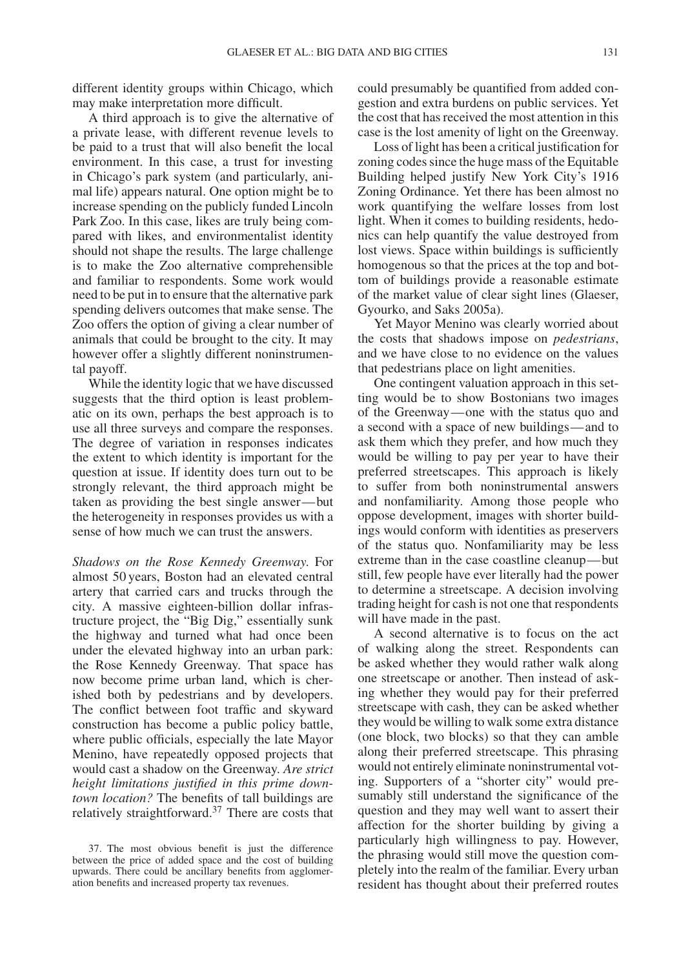different identity groups within Chicago, which may make interpretation more difficult.

A third approach is to give the alternative of a private lease, with different revenue levels to be paid to a trust that will also benefit the local environment. In this case, a trust for investing in Chicago's park system (and particularly, animal life) appears natural. One option might be to increase spending on the publicly funded Lincoln Park Zoo. In this case, likes are truly being compared with likes, and environmentalist identity should not shape the results. The large challenge is to make the Zoo alternative comprehensible and familiar to respondents. Some work would need to be put in to ensure that the alternative park spending delivers outcomes that make sense. The Zoo offers the option of giving a clear number of animals that could be brought to the city. It may however offer a slightly different noninstrumental payoff.

While the identity logic that we have discussed suggests that the third option is least problematic on its own, perhaps the best approach is to use all three surveys and compare the responses. The degree of variation in responses indicates the extent to which identity is important for the question at issue. If identity does turn out to be strongly relevant, the third approach might be taken as providing the best single answer—but the heterogeneity in responses provides us with a sense of how much we can trust the answers.

*Shadows on the Rose Kennedy Greenway.* For almost 50 years, Boston had an elevated central artery that carried cars and trucks through the city. A massive eighteen-billion dollar infrastructure project, the "Big Dig," essentially sunk the highway and turned what had once been under the elevated highway into an urban park: the Rose Kennedy Greenway. That space has now become prime urban land, which is cherished both by pedestrians and by developers. The conflict between foot traffic and skyward construction has become a public policy battle, where public officials, especially the late Mayor Menino, have repeatedly opposed projects that would cast a shadow on the Greenway. *Are strict height limitations justified in this prime downtown location?* The benefits of tall buildings are relatively straightforward.<sup>[37](#page-17-0)</sup> There are costs that could presumably be quantified from added congestion and extra burdens on public services. Yet the cost that has received the most attention in this case is the lost amenity of light on the Greenway.

Loss of light has been a critical justification for zoning codes since the huge mass of the Equitable Building helped justify New York City's 1916 Zoning Ordinance. Yet there has been almost no work quantifying the welfare losses from lost light. When it comes to building residents, hedonics can help quantify the value destroyed from lost views. Space within buildings is sufficiently homogenous so that the prices at the top and bottom of buildings provide a reasonable estimate of the market value of clear sight lines (Glaeser, Gyourko, and Saks 2005a).

Yet Mayor Menino was clearly worried about the costs that shadows impose on *pedestrians*, and we have close to no evidence on the values that pedestrians place on light amenities.

One contingent valuation approach in this setting would be to show Bostonians two images of the Greenway—one with the status quo and a second with a space of new buildings—and to ask them which they prefer, and how much they would be willing to pay per year to have their preferred streetscapes. This approach is likely to suffer from both noninstrumental answers and nonfamiliarity. Among those people who oppose development, images with shorter buildings would conform with identities as preservers of the status quo. Nonfamiliarity may be less extreme than in the case coastline cleanup—but still, few people have ever literally had the power to determine a streetscape. A decision involving trading height for cash is not one that respondents will have made in the past.

A second alternative is to focus on the act of walking along the street. Respondents can be asked whether they would rather walk along one streetscape or another. Then instead of asking whether they would pay for their preferred streetscape with cash, they can be asked whether they would be willing to walk some extra distance (one block, two blocks) so that they can amble along their preferred streetscape. This phrasing would not entirely eliminate noninstrumental voting. Supporters of a "shorter city" would presumably still understand the significance of the question and they may well want to assert their affection for the shorter building by giving a particularly high willingness to pay. However, the phrasing would still move the question completely into the realm of the familiar. Every urban resident has thought about their preferred routes

<span id="page-17-0"></span><sup>37.</sup> The most obvious benefit is just the difference between the price of added space and the cost of building upwards. There could be ancillary benefits from agglomeration benefits and increased property tax revenues.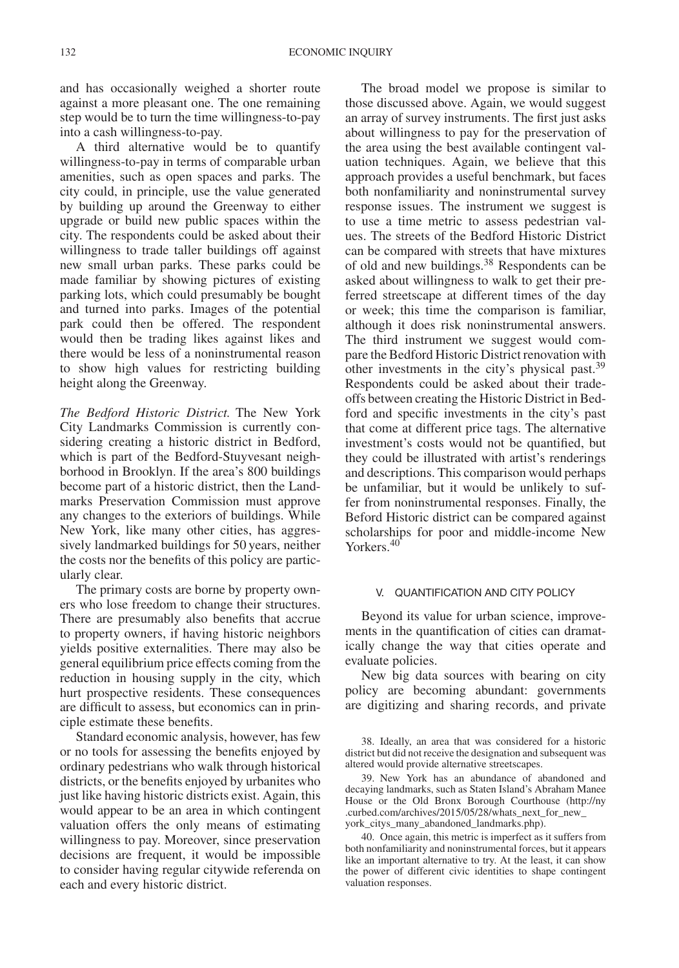and has occasionally weighed a shorter route against a more pleasant one. The one remaining step would be to turn the time willingness-to-pay into a cash willingness-to-pay.

A third alternative would be to quantify willingness-to-pay in terms of comparable urban amenities, such as open spaces and parks. The city could, in principle, use the value generated by building up around the Greenway to either upgrade or build new public spaces within the city. The respondents could be asked about their willingness to trade taller buildings off against new small urban parks. These parks could be made familiar by showing pictures of existing parking lots, which could presumably be bought and turned into parks. Images of the potential park could then be offered. The respondent would then be trading likes against likes and there would be less of a noninstrumental reason to show high values for restricting building height along the Greenway.

*The Bedford Historic District.* The New York City Landmarks Commission is currently considering creating a historic district in Bedford, which is part of the Bedford-Stuyvesant neighborhood in Brooklyn. If the area's 800 buildings become part of a historic district, then the Landmarks Preservation Commission must approve any changes to the exteriors of buildings. While New York, like many other cities, has aggressively landmarked buildings for 50 years, neither the costs nor the benefits of this policy are particularly clear.

The primary costs are borne by property owners who lose freedom to change their structures. There are presumably also benefits that accrue to property owners, if having historic neighbors yields positive externalities. There may also be general equilibrium price effects coming from the reduction in housing supply in the city, which hurt prospective residents. These consequences are difficult to assess, but economics can in principle estimate these benefits.

Standard economic analysis, however, has few or no tools for assessing the benefits enjoyed by ordinary pedestrians who walk through historical districts, or the benefits enjoyed by urbanites who just like having historic districts exist. Again, this would appear to be an area in which contingent valuation offers the only means of estimating willingness to pay. Moreover, since preservation decisions are frequent, it would be impossible to consider having regular citywide referenda on each and every historic district.

The broad model we propose is similar to those discussed above. Again, we would suggest an array of survey instruments. The first just asks about willingness to pay for the preservation of the area using the best available contingent valuation techniques. Again, we believe that this approach provides a useful benchmark, but faces both nonfamiliarity and noninstrumental survey response issues. The instrument we suggest is to use a time metric to assess pedestrian values. The streets of the Bedford Historic District can be compared with streets that have mixtures of old and new buildings.[38](#page-18-0) Respondents can be asked about willingness to walk to get their preferred streetscape at different times of the day or week; this time the comparison is familiar, although it does risk noninstrumental answers. The third instrument we suggest would compare the Bedford Historic District renovation with other investments in the city's physical past.<sup>39</sup> Respondents could be asked about their tradeoffs between creating the Historic District in Bedford and specific investments in the city's past that come at different price tags. The alternative investment's costs would not be quantified, but they could be illustrated with artist's renderings and descriptions. This comparison would perhaps be unfamiliar, but it would be unlikely to suffer from noninstrumental responses. Finally, the Beford Historic district can be compared against scholarships for poor and middle-income New Yorkers.<sup>40</sup>

#### V. QUANTIFICATION AND CITY POLICY

Beyond its value for urban science, improvements in the quantification of cities can dramatically change the way that cities operate and evaluate policies.

New big data sources with bearing on city policy are becoming abundant: governments are digitizing and sharing records, and private

<span id="page-18-0"></span><sup>38.</sup> Ideally, an area that was considered for a historic district but did not receive the designation and subsequent was altered would provide alternative streetscapes.

<span id="page-18-1"></span><sup>39.</sup> New York has an abundance of abandoned and decaying landmarks, such as Staten Island's Abraham Manee House or the Old Bronx Borough Courthouse [\(http://ny](http://ny.curbed.com/archives/2015/05/28/whats_next_for_new_york_citys_many_abandoned_landmarks.php) [.curbed.com/archives/2015/05/28/whats\\_next\\_for\\_new\\_](http://ny.curbed.com/archives/2015/05/28/whats_next_for_new_york_citys_many_abandoned_landmarks.php) [york\\_citys\\_many\\_abandoned\\_landmarks.php\)](http://ny.curbed.com/archives/2015/05/28/whats_next_for_new_york_citys_many_abandoned_landmarks.php).

<span id="page-18-2"></span><sup>40.</sup> Once again, this metric is imperfect as it suffers from both nonfamiliarity and noninstrumental forces, but it appears like an important alternative to try. At the least, it can show the power of different civic identities to shape contingent valuation responses.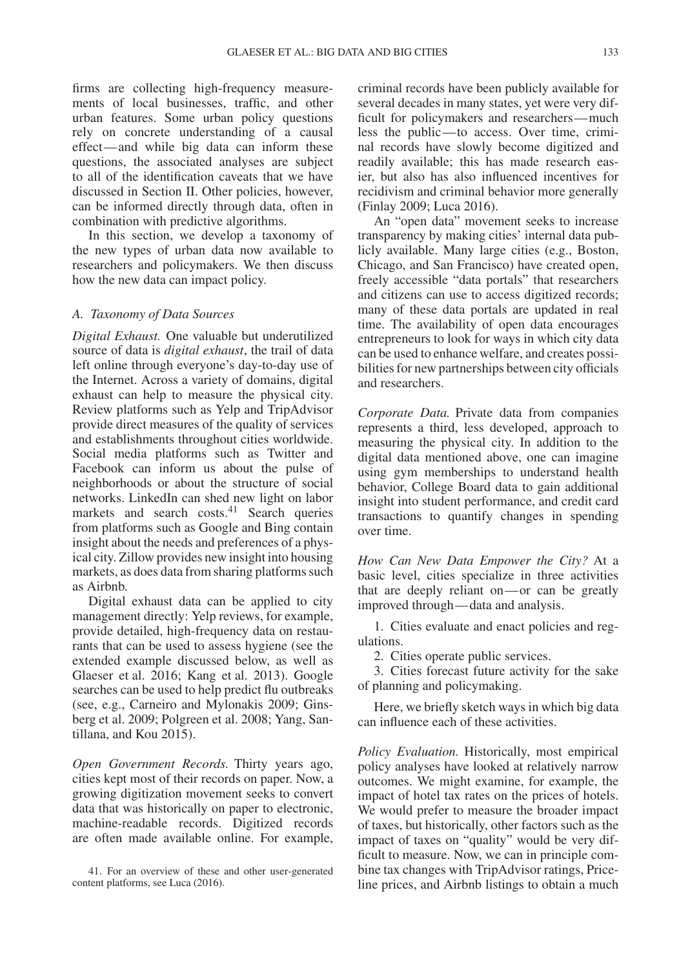firms are collecting high-frequency measurements of local businesses, traffic, and other urban features. Some urban policy questions rely on concrete understanding of a causal effect—and while big data can inform these questions, the associated analyses are subject to all of the identification caveats that we have discussed in Section II. Other policies, however, can be informed directly through data, often in combination with predictive algorithms.

In this section, we develop a taxonomy of the new types of urban data now available to researchers and policymakers. We then discuss how the new data can impact policy.

### *A. Taxonomy of Data Sources*

*Digital Exhaust.* One valuable but underutilized source of data is *digital exhaust*, the trail of data left online through everyone's day-to-day use of the Internet. Across a variety of domains, digital exhaust can help to measure the physical city. Review platforms such as Yelp and TripAdvisor provide direct measures of the quality of services and establishments throughout cities worldwide. Social media platforms such as Twitter and Facebook can inform us about the pulse of neighborhoods or about the structure of social networks. LinkedIn can shed new light on labor markets and search costs.<sup>[41](#page-19-0)</sup> Search queries from platforms such as Google and Bing contain insight about the needs and preferences of a physical city. Zillow provides new insight into housing markets, as does data from sharing platforms such as Airbnb.

Digital exhaust data can be applied to city management directly: Yelp reviews, for example, provide detailed, high-frequency data on restaurants that can be used to assess hygiene (see the extended example discussed below, as well as Glaeser et al. 2016; Kang et al. 2013). Google searches can be used to help predict flu outbreaks (see, e.g., Carneiro and Mylonakis 2009; Ginsberg et al. 2009; Polgreen et al. 2008; Yang, Santillana, and Kou 2015).

*Open Government Records.* Thirty years ago, cities kept most of their records on paper. Now, a growing digitization movement seeks to convert data that was historically on paper to electronic, machine-readable records. Digitized records are often made available online. For example, criminal records have been publicly available for several decades in many states, yet were very difficult for policymakers and researchers—much less the public—to access. Over time, criminal records have slowly become digitized and readily available; this has made research easier, but also has also influenced incentives for recidivism and criminal behavior more generally (Finlay 2009; Luca 2016).

An "open data" movement seeks to increase transparency by making cities' internal data publicly available. Many large cities (e.g., Boston, Chicago, and San Francisco) have created open, freely accessible "data portals" that researchers and citizens can use to access digitized records; many of these data portals are updated in real time. The availability of open data encourages entrepreneurs to look for ways in which city data can be used to enhance welfare, and creates possibilities for new partnerships between city officials and researchers.

*Corporate Data.* Private data from companies represents a third, less developed, approach to measuring the physical city. In addition to the digital data mentioned above, one can imagine using gym memberships to understand health behavior, College Board data to gain additional insight into student performance, and credit card transactions to quantify changes in spending over time.

*How Can New Data Empower the City?* At a basic level, cities specialize in three activities that are deeply reliant on—or can be greatly improved through—data and analysis.

1. Cities evaluate and enact policies and regulations.

2. Cities operate public services.

3. Cities forecast future activity for the sake of planning and policymaking.

Here, we briefly sketch ways in which big data can influence each of these activities.

*Policy Evaluation.* Historically, most empirical policy analyses have looked at relatively narrow outcomes. We might examine, for example, the impact of hotel tax rates on the prices of hotels. We would prefer to measure the broader impact of taxes, but historically, other factors such as the impact of taxes on "quality" would be very difficult to measure. Now, we can in principle combine tax changes with TripAdvisor ratings, Priceline prices, and Airbnb listings to obtain a much

<span id="page-19-0"></span><sup>41.</sup> For an overview of these and other user-generated content platforms, see Luca (2016).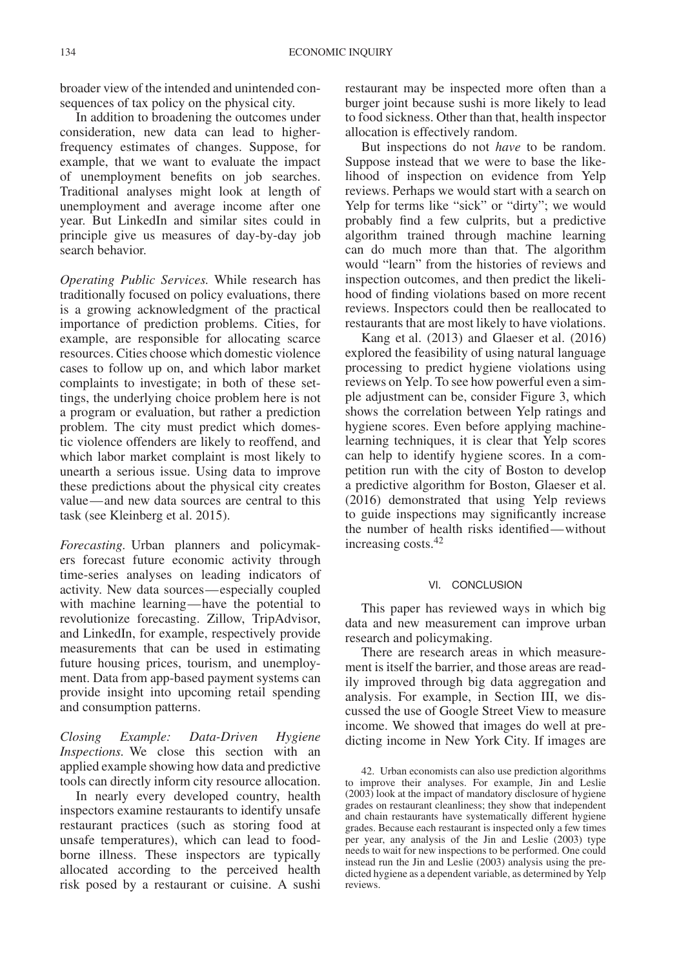broader view of the intended and unintended consequences of tax policy on the physical city.

In addition to broadening the outcomes under consideration, new data can lead to higherfrequency estimates of changes. Suppose, for example, that we want to evaluate the impact of unemployment benefits on job searches. Traditional analyses might look at length of unemployment and average income after one year. But LinkedIn and similar sites could in principle give us measures of day-by-day job search behavior.

*Operating Public Services.* While research has traditionally focused on policy evaluations, there is a growing acknowledgment of the practical importance of prediction problems. Cities, for example, are responsible for allocating scarce resources. Cities choose which domestic violence cases to follow up on, and which labor market complaints to investigate; in both of these settings, the underlying choice problem here is not a program or evaluation, but rather a prediction problem. The city must predict which domestic violence offenders are likely to reoffend, and which labor market complaint is most likely to unearth a serious issue. Using data to improve these predictions about the physical city creates value—and new data sources are central to this task (see Kleinberg et al. 2015).

*Forecasting.* Urban planners and policymakers forecast future economic activity through time-series analyses on leading indicators of activity. New data sources—especially coupled with machine learning—have the potential to revolutionize forecasting. Zillow, TripAdvisor, and LinkedIn, for example, respectively provide measurements that can be used in estimating future housing prices, tourism, and unemployment. Data from app-based payment systems can provide insight into upcoming retail spending and consumption patterns.

*Closing Example: Data-Driven Hygiene Inspections.* We close this section with an applied example showing how data and predictive tools can directly inform city resource allocation.

In nearly every developed country, health inspectors examine restaurants to identify unsafe restaurant practices (such as storing food at unsafe temperatures), which can lead to foodborne illness. These inspectors are typically allocated according to the perceived health risk posed by a restaurant or cuisine. A sushi restaurant may be inspected more often than a burger joint because sushi is more likely to lead to food sickness. Other than that, health inspector allocation is effectively random.

But inspections do not *have* to be random. Suppose instead that we were to base the likelihood of inspection on evidence from Yelp reviews. Perhaps we would start with a search on Yelp for terms like "sick" or "dirty"; we would probably find a few culprits, but a predictive algorithm trained through machine learning can do much more than that. The algorithm would "learn" from the histories of reviews and inspection outcomes, and then predict the likelihood of finding violations based on more recent reviews. Inspectors could then be reallocated to restaurants that are most likely to have violations.

Kang et al. (2013) and Glaeser et al. (2016) explored the feasibility of using natural language processing to predict hygiene violations using reviews on Yelp. To see how powerful even a simple adjustment can be, consider Figure 3, which shows the correlation between Yelp ratings and hygiene scores. Even before applying machinelearning techniques, it is clear that Yelp scores can help to identify hygiene scores. In a competition run with the city of Boston to develop a predictive algorithm for Boston, Glaeser et al. (2016) demonstrated that using Yelp reviews to guide inspections may significantly increase the number of health risks identified—without increasing costs.[42](#page-20-0)

### VI. CONCLUSION

This paper has reviewed ways in which big data and new measurement can improve urban research and policymaking.

There are research areas in which measurement is itself the barrier, and those areas are readily improved through big data aggregation and analysis. For example, in Section III, we discussed the use of Google Street View to measure income. We showed that images do well at predicting income in New York City. If images are

<span id="page-20-0"></span><sup>42.</sup> Urban economists can also use prediction algorithms to improve their analyses. For example, Jin and Leslie (2003) look at the impact of mandatory disclosure of hygiene grades on restaurant cleanliness; they show that independent and chain restaurants have systematically different hygiene grades. Because each restaurant is inspected only a few times per year, any analysis of the Jin and Leslie (2003) type needs to wait for new inspections to be performed. One could instead run the Jin and Leslie (2003) analysis using the predicted hygiene as a dependent variable, as determined by Yelp reviews.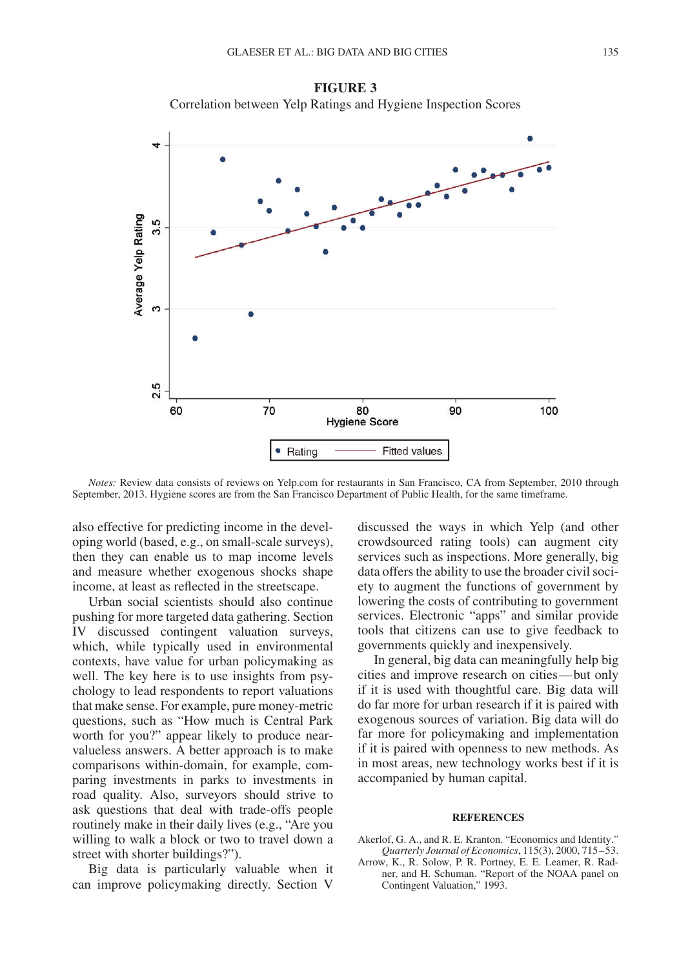



*Notes:* Review data consists of reviews on Yelp.com for restaurants in San Francisco, CA from September, 2010 through September, 2013. Hygiene scores are from the San Francisco Department of Public Health, for the same timeframe.

also effective for predicting income in the developing world (based, e.g., on small-scale surveys), then they can enable us to map income levels and measure whether exogenous shocks shape income, at least as reflected in the streetscape.

Urban social scientists should also continue pushing for more targeted data gathering. Section IV discussed contingent valuation surveys, which, while typically used in environmental contexts, have value for urban policymaking as well. The key here is to use insights from psychology to lead respondents to report valuations that make sense. For example, pure money-metric questions, such as "How much is Central Park worth for you?" appear likely to produce nearvalueless answers. A better approach is to make comparisons within-domain, for example, comparing investments in parks to investments in road quality. Also, surveyors should strive to ask questions that deal with trade-offs people routinely make in their daily lives (e.g., "Are you willing to walk a block or two to travel down a street with shorter buildings?").

Big data is particularly valuable when it can improve policymaking directly. Section V discussed the ways in which Yelp (and other crowdsourced rating tools) can augment city services such as inspections. More generally, big data offers the ability to use the broader civil society to augment the functions of government by lowering the costs of contributing to government services. Electronic "apps" and similar provide tools that citizens can use to give feedback to governments quickly and inexpensively.

In general, big data can meaningfully help big cities and improve research on cities—but only if it is used with thoughtful care. Big data will do far more for urban research if it is paired with exogenous sources of variation. Big data will do far more for policymaking and implementation if it is paired with openness to new methods. As in most areas, new technology works best if it is accompanied by human capital.

#### **REFERENCES**

- Akerlof, G. A., and R. E. Kranton. "Economics and Identity." *Quarterly Journal of Economics*, 115(3), 2000, 715–53.
- Arrow, K., R. Solow, P. R. Portney, E. E. Leamer, R. Radner, and H. Schuman. "Report of the NOAA panel on Contingent Valuation," 1993.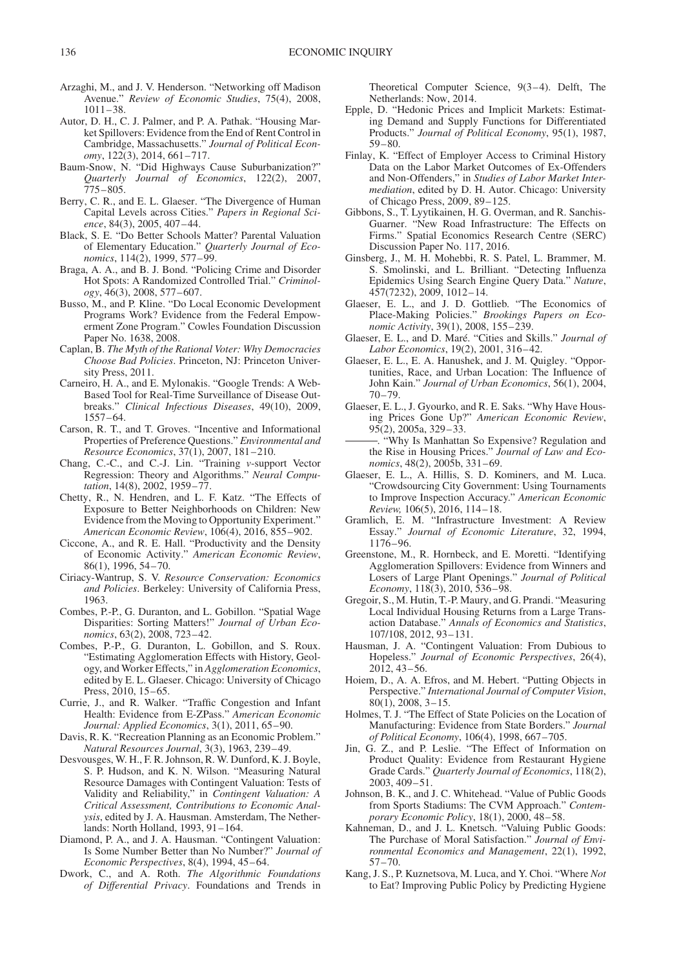- Arzaghi, M., and J. V. Henderson. "Networking off Madison Avenue." *Review of Economic Studies*, 75(4), 2008, 1011–38.
- Autor, D. H., C. J. Palmer, and P. A. Pathak. "Housing Market Spillovers: Evidence from the End of Rent Control in Cambridge, Massachusetts." *Journal of Political Economy*, 122(3), 2014, 661–717.
- Baum-Snow, N. "Did Highways Cause Suburbanization?" *Quarterly Journal of Economics*, 122(2), 2007, 775–805.
- Berry, C. R., and E. L. Glaeser. "The Divergence of Human Capital Levels across Cities." *Papers in Regional Science*, 84(3), 2005, 407–44.
- Black, S. E. "Do Better Schools Matter? Parental Valuation of Elementary Education." *Quarterly Journal of Economics*, 114(2), 1999, 577–99.
- Braga, A. A., and B. J. Bond. "Policing Crime and Disorder Hot Spots: A Randomized Controlled Trial." *Criminology*, 46(3), 2008, 577–607.
- Busso, M., and P. Kline. "Do Local Economic Development Programs Work? Evidence from the Federal Empowerment Zone Program." Cowles Foundation Discussion Paper No. 1638, 2008.
- Caplan, B. *The Myth of the Rational Voter: Why Democracies Choose Bad Policies*. Princeton, NJ: Princeton University Press, 2011.
- Carneiro, H. A., and E. Mylonakis. "Google Trends: A Web-Based Tool for Real-Time Surveillance of Disease Outbreaks." *Clinical Infectious Diseases*, 49(10), 2009, 1557–64.
- Carson, R. T., and T. Groves. "Incentive and Informational Properties of Preference Questions." *Environmental and Resource Economics*, 37(1), 2007, 181–210.
- Chang, C.-C., and C.-J. Lin. "Training *v*-support Vector Regression: Theory and Algorithms." *Neural Computation*, 14(8), 2002, 1959–77.
- Chetty, R., N. Hendren, and L. F. Katz. "The Effects of Exposure to Better Neighborhoods on Children: New Evidence from the Moving to Opportunity Experiment." *American Economic Review*, 106(4), 2016, 855–902.
- Ciccone, A., and R. E. Hall. "Productivity and the Density of Economic Activity." *American Economic Review*, 86(1), 1996, 54–70.
- Ciriacy-Wantrup, S. V. *Resource Conservation: Economics and Policies*. Berkeley: University of California Press, 1963.
- Combes, P.-P., G. Duranton, and L. Gobillon. "Spatial Wage Disparities: Sorting Matters!" *Journal of Urban Economics*, 63(2), 2008, 723–42.
- Combes, P.-P., G. Duranton, L. Gobillon, and S. Roux. "Estimating Agglomeration Effects with History, Geology, and Worker Effects," in *Agglomeration Economics*, edited by E. L. Glaeser. Chicago: University of Chicago Press, 2010, 15–65.
- Currie, J., and R. Walker. "Traffic Congestion and Infant Health: Evidence from E-ZPass." *American Economic Journal: Applied Economics*, 3(1), 2011, 65–90.
- Davis, R. K. "Recreation Planning as an Economic Problem." *Natural Resources Journal*, 3(3), 1963, 239–49.
- Desvousges, W. H., F. R. Johnson, R. W. Dunford, K. J. Boyle, S. P. Hudson, and K. N. Wilson. "Measuring Natural Resource Damages with Contingent Valuation: Tests of Validity and Reliability," in *Contingent Valuation: A Critical Assessment, Contributions to Economic Analysis*, edited by J. A. Hausman. Amsterdam, The Netherlands: North Holland, 1993, 91–164.
- Diamond, P. A., and J. A. Hausman. "Contingent Valuation: Is Some Number Better than No Number?" *Journal of Economic Perspectives*, 8(4), 1994, 45–64.
- Dwork, C., and A. Roth. *The Algorithmic Foundations of Differential Privacy*. Foundations and Trends in

Theoretical Computer Science, 9(3–4). Delft, The Netherlands: Now, 2014.

- Epple, D. "Hedonic Prices and Implicit Markets: Estimating Demand and Supply Functions for Differentiated Products." *Journal of Political Economy*, 95(1), 1987, 59–80.
- Finlay, K. "Effect of Employer Access to Criminal History Data on the Labor Market Outcomes of Ex-Offenders and Non-Offenders," in *Studies of Labor Market Intermediation*, edited by D. H. Autor. Chicago: University of Chicago Press, 2009, 89–125.
- Gibbons, S., T. Lyytikainen, H. G. Overman, and R. Sanchis-Guarner. "New Road Infrastructure: The Effects on Firms." Spatial Economics Research Centre (SERC) Discussion Paper No. 117, 2016.
- Ginsberg, J., M. H. Mohebbi, R. S. Patel, L. Brammer, M. S. Smolinski, and L. Brilliant. "Detecting Influenza Epidemics Using Search Engine Query Data." *Nature*, 457(7232), 2009, 1012–14.
- Glaeser, E. L., and J. D. Gottlieb. "The Economics of Place-Making Policies." *Brookings Papers on Economic Activity*, 39(1), 2008, 155–239.
- Glaeser, E. L., and D. Maré. "Cities and Skills." *Journal of Labor Economics*, 19(2), 2001, 316–42.
- Glaeser, E. L., E. A. Hanushek, and J. M. Quigley. "Opportunities, Race, and Urban Location: The Influence of John Kain." *Journal of Urban Economics*, 56(1), 2004, 70–79.
- Glaeser, E. L., J. Gyourko, and R. E. Saks. "Why Have Housing Prices Gone Up?" *American Economic Review*, 95(2), 2005a, 329–33.
- . "Why Is Manhattan So Expensive? Regulation and the Rise in Housing Prices." *Journal of Law and Economics*, 48(2), 2005b, 331–69.
- Glaeser, E. L., A. Hillis, S. D. Kominers, and M. Luca. "Crowdsourcing City Government: Using Tournaments to Improve Inspection Accuracy." *American Economic Review,* 106(5), 2016, 114–18.
- Gramlich, E. M. "Infrastructure Investment: A Review Essay." *Journal of Economic Literature*, 32, 1994, 1176–96.
- Greenstone, M., R. Hornbeck, and E. Moretti. "Identifying Agglomeration Spillovers: Evidence from Winners and Losers of Large Plant Openings." *Journal of Political Economy*, 118(3), 2010, 536–98.
- Gregoir, S., M. Hutin, T.-P. Maury, and G. Prandi. "Measuring Local Individual Housing Returns from a Large Transaction Database." *Annals of Economics and Statistics*, 107/108, 2012, 93–131.
- Hausman, J. A. "Contingent Valuation: From Dubious to Hopeless." *Journal of Economic Perspectives*, 26(4), 2012, 43–56.
- Hoiem, D., A. A. Efros, and M. Hebert. "Putting Objects in Perspective." *International Journal of Computer Vision*,  $80(1)$ , 2008, 3-15.
- Holmes, T. J. "The Effect of State Policies on the Location of Manufacturing: Evidence from State Borders." *Journal of Political Economy*, 106(4), 1998, 667–705.
- Jin, G. Z., and P. Leslie. "The Effect of Information on Product Quality: Evidence from Restaurant Hygiene Grade Cards." *Quarterly Journal of Economics*, 118(2), 2003, 409–51.
- Johnson, B. K., and J. C. Whitehead. "Value of Public Goods from Sports Stadiums: The CVM Approach." *Contemporary Economic Policy*, 18(1), 2000, 48–58.
- Kahneman, D., and J. L. Knetsch. "Valuing Public Goods: The Purchase of Moral Satisfaction." *Journal of Environmental Economics and Management*, 22(1), 1992, 57–70.
- Kang, J. S., P. Kuznetsova, M. Luca, and Y. Choi. "Where *Not* to Eat? Improving Public Policy by Predicting Hygiene